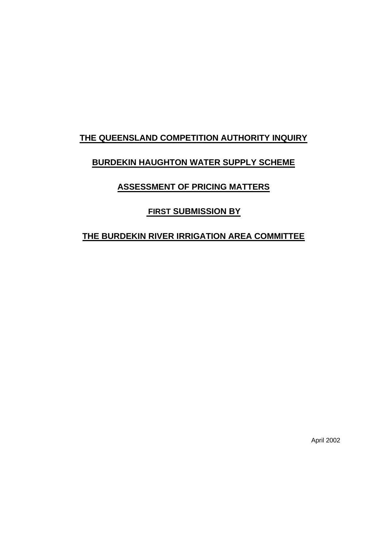# **THE QUEENSLAND COMPETITION AUTHORITY INQUIRY**

# **BURDEKIN HAUGHTON WATER SUPPLY SCHEME**

# **ASSESSMENT OF PRICING MATTERS**

# **FIRST SUBMISSION BY**

# **THE BURDEKIN RIVER IRRIGATION AREA COMMITTEE**

April 2002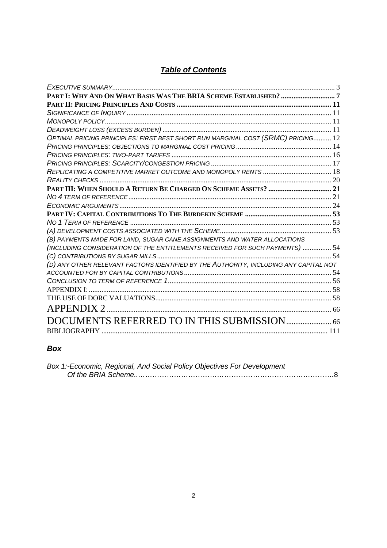# *Table of Contents*

| OPTIMAL PRICING PRINCIPLES: FIRST BEST SHORT RUN MARGINAL COST (SRMC) PRICING 12      |  |
|---------------------------------------------------------------------------------------|--|
|                                                                                       |  |
|                                                                                       |  |
|                                                                                       |  |
|                                                                                       |  |
|                                                                                       |  |
|                                                                                       |  |
|                                                                                       |  |
|                                                                                       |  |
|                                                                                       |  |
|                                                                                       |  |
|                                                                                       |  |
| (B) PAYMENTS MADE FOR LAND, SUGAR CANE ASSIGNMENTS AND WATER ALLOCATIONS              |  |
| (INCLUDING CONSIDERATION OF THE ENTITLEMENTS RECEIVED FOR SUCH PAYMENTS)  54          |  |
|                                                                                       |  |
| (D) ANY OTHER RELEVANT FACTORS IDENTIFIED BY THE AUTHORITY, INCLUDING ANY CAPITAL NOT |  |
|                                                                                       |  |
|                                                                                       |  |
| <b>APPENDIX I:</b>                                                                    |  |
|                                                                                       |  |
| <b>APPENDIX 2</b>                                                                     |  |
|                                                                                       |  |
|                                                                                       |  |
|                                                                                       |  |

# *Box*

| Box 1:-Economic, Regional, And Social Policy Objectives For Development |  |
|-------------------------------------------------------------------------|--|
|                                                                         |  |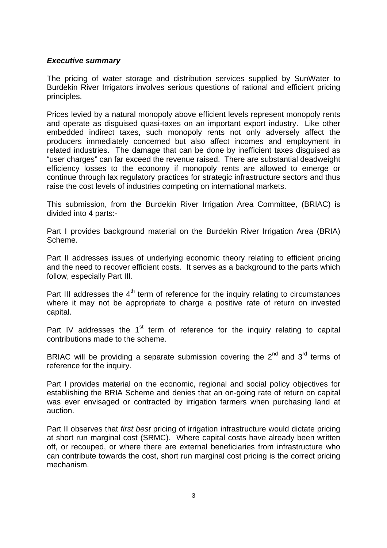# *Executive summary*

The pricing of water storage and distribution services supplied by SunWater to Burdekin River Irrigators involves serious questions of rational and efficient pricing principles.

Prices levied by a natural monopoly above efficient levels represent monopoly rents and operate as disguised quasi-taxes on an important export industry. Like other embedded indirect taxes, such monopoly rents not only adversely affect the producers immediately concerned but also affect incomes and employment in related industries. The damage that can be done by inefficient taxes disguised as "user charges" can far exceed the revenue raised. There are substantial deadweight efficiency losses to the economy if monopoly rents are allowed to emerge or continue through lax regulatory practices for strategic infrastructure sectors and thus raise the cost levels of industries competing on international markets.

This submission, from the Burdekin River Irrigation Area Committee, (BRIAC) is divided into 4 parts:-

Part I provides background material on the Burdekin River Irrigation Area (BRIA) Scheme.

Part II addresses issues of underlying economic theory relating to efficient pricing and the need to recover efficient costs. It serves as a background to the parts which follow, especially Part III.

Part III addresses the  $4<sup>th</sup>$  term of reference for the inquiry relating to circumstances where it may not be appropriate to charge a positive rate of return on invested capital.

Part IV addresses the 1<sup>st</sup> term of reference for the inquiry relating to capital contributions made to the scheme.

BRIAC will be providing a separate submission covering the 2<sup>nd</sup> and 3<sup>rd</sup> terms of reference for the inquiry.

Part I provides material on the economic, regional and social policy objectives for establishing the BRIA Scheme and denies that an on-going rate of return on capital was ever envisaged or contracted by irrigation farmers when purchasing land at auction.

Part II observes that *first best* pricing of irrigation infrastructure would dictate pricing at short run marginal cost (SRMC). Where capital costs have already been written off, or recouped, or where there are external beneficiaries from infrastructure who can contribute towards the cost, short run marginal cost pricing is the correct pricing mechanism.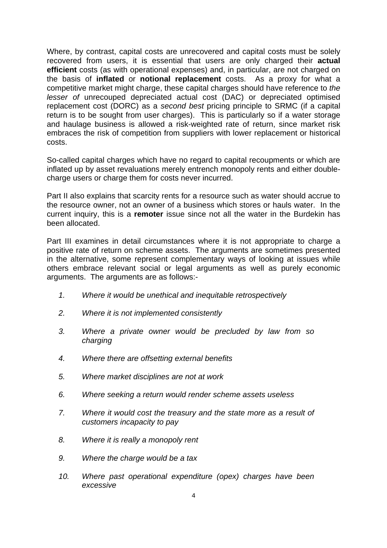Where, by contrast, capital costs are unrecovered and capital costs must be solely recovered from users, it is essential that users are only charged their **actual efficient** costs (as with operational expenses) and, in particular, are not charged on the basis of **inflated** or **notional replacement** costs. As a proxy for what a competitive market might charge, these capital charges should have reference to *the lesser of* unrecouped depreciated actual cost (DAC) or depreciated optimised replacement cost (DORC) as a *second best* pricing principle to SRMC (if a capital return is to be sought from user charges). This is particularly so if a water storage and haulage business is allowed a risk-weighted rate of return, since market risk embraces the risk of competition from suppliers with lower replacement or historical costs.

So-called capital charges which have no regard to capital recoupments or which are inflated up by asset revaluations merely entrench monopoly rents and either doublecharge users or charge them for costs never incurred.

Part II also explains that scarcity rents for a resource such as water should accrue to the resource owner, not an owner of a business which stores or hauls water. In the current inquiry, this is a **remoter** issue since not all the water in the Burdekin has been allocated.

Part III examines in detail circumstances where it is not appropriate to charge a positive rate of return on scheme assets. The arguments are sometimes presented in the alternative, some represent complementary ways of looking at issues while others embrace relevant social or legal arguments as well as purely economic arguments. The arguments are as follows:-

- *1. Where it would be unethical and inequitable retrospectively*
- *2. Where it is not implemented consistently*
- *3. Where a private owner would be precluded by law from so charging*
- *4. Where there are offsetting external benefits*
- *5. Where market disciplines are not at work*
- *6. Where seeking a return would render scheme assets useless*
- *7. Where it would cost the treasury and the state more as a result of customers incapacity to pay*
- *8. Where it is really a monopoly rent*
- *9. Where the charge would be a tax*
- *10. Where past operational expenditure (opex) charges have been excessive*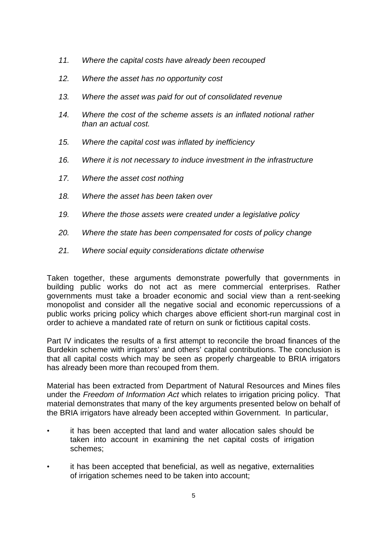- *11. Where the capital costs have already been recouped*
- *12. Where the asset has no opportunity cost*
- *13. Where the asset was paid for out of consolidated revenue*
- *14. Where the cost of the scheme assets is an inflated notional rather than an actual cost.*
- *15. Where the capital cost was inflated by inefficiency*
- *16. Where it is not necessary to induce investment in the infrastructure*
- *17. Where the asset cost nothing*
- *18. Where the asset has been taken over*
- *19. Where the those assets were created under a legislative policy*
- *20. Where the state has been compensated for costs of policy change*
- *21. Where social equity considerations dictate otherwise*

Taken together, these arguments demonstrate powerfully that governments in building public works do not act as mere commercial enterprises. Rather governments must take a broader economic and social view than a rent-seeking monopolist and consider all the negative social and economic repercussions of a public works pricing policy which charges above efficient short-run marginal cost in order to achieve a mandated rate of return on sunk or fictitious capital costs.

Part IV indicates the results of a first attempt to reconcile the broad finances of the Burdekin scheme with irrigators' and others' capital contributions. The conclusion is that all capital costs which may be seen as properly chargeable to BRIA irrigators has already been more than recouped from them.

Material has been extracted from Department of Natural Resources and Mines files under the *Freedom of Information Act* which relates to irrigation pricing policy. That material demonstrates that many of the key arguments presented below on behalf of the BRIA irrigators have already been accepted within Government. In particular,

- it has been accepted that land and water allocation sales should be taken into account in examining the net capital costs of irrigation schemes;
- it has been accepted that beneficial, as well as negative, externalities of irrigation schemes need to be taken into account;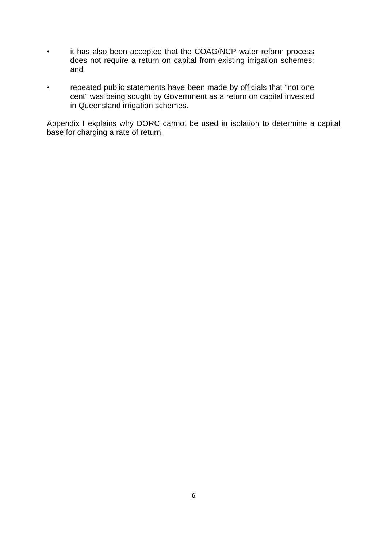- it has also been accepted that the COAG/NCP water reform process does not require a return on capital from existing irrigation schemes; and
- repeated public statements have been made by officials that "not one cent" was being sought by Government as a return on capital invested in Queensland irrigation schemes.

Appendix I explains why DORC cannot be used in isolation to determine a capital base for charging a rate of return.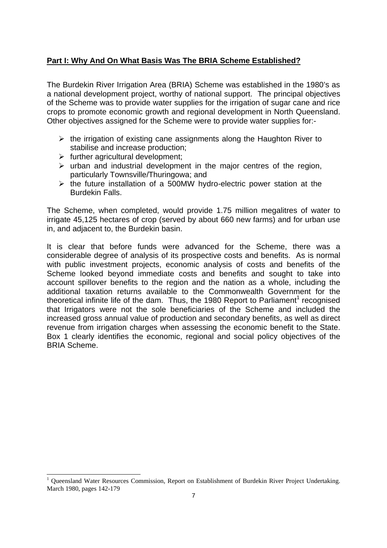# **Part I: Why And On What Basis Was The BRIA Scheme Established?**

The Burdekin River Irrigation Area (BRIA) Scheme was established in the 1980's as a national development project, worthy of national support. The principal objectives of the Scheme was to provide water supplies for the irrigation of sugar cane and rice crops to promote economic growth and regional development in North Queensland. Other objectives assigned for the Scheme were to provide water supplies for:-

- $\triangleright$  the irrigation of existing cane assignments along the Haughton River to stabilise and increase production;
- $\triangleright$  further agricultural development;

l

- $\triangleright$  urban and industrial development in the major centres of the region, particularly Townsville/Thuringowa; and
- $\triangleright$  the future installation of a 500MW hydro-electric power station at the Burdekin Falls.

The Scheme, when completed, would provide 1.75 million megalitres of water to irrigate 45,125 hectares of crop (served by about 660 new farms) and for urban use in, and adjacent to, the Burdekin basin.

It is clear that before funds were advanced for the Scheme, there was a considerable degree of analysis of its prospective costs and benefits. As is normal with public investment projects, economic analysis of costs and benefits of the Scheme looked beyond immediate costs and benefits and sought to take into account spillover benefits to the region and the nation as a whole, including the additional taxation returns available to the Commonwealth Government for the theoretical infinite life of the dam. Thus, the 1980 Report to Parliament<sup>1</sup> recognised that Irrigators were not the sole beneficiaries of the Scheme and included the increased gross annual value of production and secondary benefits, as well as direct revenue from irrigation charges when assessing the economic benefit to the State. Box 1 clearly identifies the economic, regional and social policy objectives of the BRIA Scheme.

<sup>1</sup> Queensland Water Resources Commission, Report on Establishment of Burdekin River Project Undertaking. March 1980, pages 142-179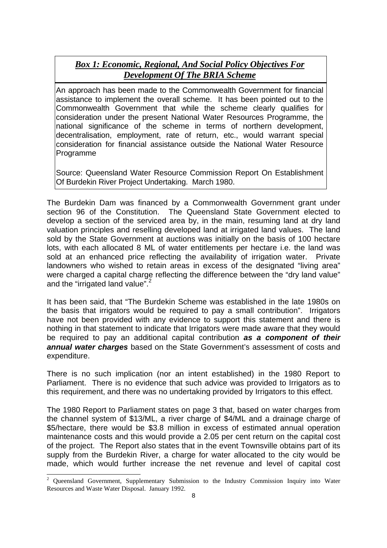# *Box 1: Economic, Regional, And Social Policy Objectives For Development Of The BRIA Scheme*

An approach has been made to the Commonwealth Government for financial assistance to implement the overall scheme. It has been pointed out to the Commonwealth Government that while the scheme clearly qualifies for consideration under the present National Water Resources Programme, the national significance of the scheme in terms of northern development, decentralisation, employment, rate of return, etc., would warrant special consideration for financial assistance outside the National Water Resource **Programme** 

Source: Queensland Water Resource Commission Report On Establishment Of Burdekin River Project Undertaking. March 1980.

The Burdekin Dam was financed by a Commonwealth Government grant under section 96 of the Constitution. The Queensland State Government elected to develop a section of the serviced area by, in the main, resuming land at dry land valuation principles and reselling developed land at irrigated land values. The land sold by the State Government at auctions was initially on the basis of 100 hectare lots, with each allocated 8 ML of water entitlements per hectare i.e. the land was sold at an enhanced price reflecting the availability of irrigation water. Private landowners who wished to retain areas in excess of the designated "living area" were charged a capital charge reflecting the difference between the "dry land value" and the "irrigated land value".

It has been said, that "The Burdekin Scheme was established in the late 1980s on the basis that irrigators would be required to pay a small contribution". Irrigators have not been provided with any evidence to support this statement and there is nothing in that statement to indicate that Irrigators were made aware that they would be required to pay an additional capital contribution *as a component of their annual water charges* based on the State Government's assessment of costs and expenditure.

There is no such implication (nor an intent established) in the 1980 Report to Parliament. There is no evidence that such advice was provided to Irrigators as to this requirement, and there was no undertaking provided by Irrigators to this effect.

The 1980 Report to Parliament states on page 3 that, based on water charges from the channel system of \$13/ML, a river charge of \$4/ML and a drainage charge of \$5/hectare, there would be \$3.8 million in excess of estimated annual operation maintenance costs and this would provide a 2.05 per cent return on the capital cost of the project. The Report also states that in the event Townsville obtains part of its supply from the Burdekin River, a charge for water allocated to the city would be made, which would further increase the net revenue and level of capital cost

l

<sup>&</sup>lt;sup>2</sup> Oueensland Government, Supplementary Submission to the Industry Commission Inquiry into Water Resources and Waste Water Disposal. January 1992.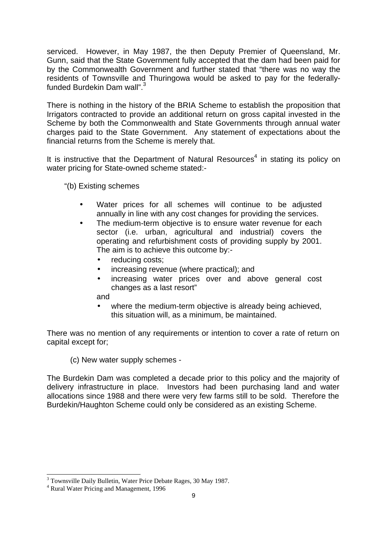serviced. However, in May 1987, the then Deputy Premier of Queensland, Mr. Gunn, said that the State Government fully accepted that the dam had been paid for by the Commonwealth Government and further stated that "there was no way the residents of Townsville and Thuringowa would be asked to pay for the federallyfunded Burdekin Dam wall".<sup>3</sup>

There is nothing in the history of the BRIA Scheme to establish the proposition that Irrigators contracted to provide an additional return on gross capital invested in the Scheme by both the Commonwealth and State Governments through annual water charges paid to the State Government. Any statement of expectations about the financial returns from the Scheme is merely that.

It is instructive that the Department of Natural Resources<sup>4</sup> in stating its policy on water pricing for State-owned scheme stated:-

"(b) Existing schemes

- Water prices for all schemes will continue to be adjusted annually in line with any cost changes for providing the services.
- The medium-term objective is to ensure water revenue for each sector (i.e. urban, agricultural and industrial) covers the operating and refurbishment costs of providing supply by 2001. The aim is to achieve this outcome by:
	- reducing costs;
	- increasing revenue (where practical); and
	- increasing water prices over and above general cost changes as a last resort"

and

where the medium-term objective is already being achieved, this situation will, as a minimum, be maintained.

There was no mention of any requirements or intention to cover a rate of return on capital except for;

(c) New water supply schemes -

The Burdekin Dam was completed a decade prior to this policy and the majority of delivery infrastructure in place. Investors had been purchasing land and water allocations since 1988 and there were very few farms still to be sold. Therefore the Burdekin/Haughton Scheme could only be considered as an existing Scheme.

l

<sup>&</sup>lt;sup>3</sup> Townsville Daily Bulletin, Water Price Debate Rages, 30 May 1987.

<sup>4</sup> Rural Water Pricing and Management, 1996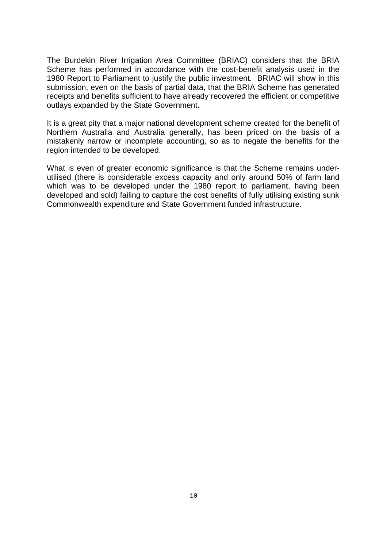The Burdekin River Irrigation Area Committee (BRIAC) considers that the BRIA Scheme has performed in accordance with the cost-benefit analysis used in the 1980 Report to Parliament to justify the public investment. BRIAC will show in this submission, even on the basis of partial data, that the BRIA Scheme has generated receipts and benefits sufficient to have already recovered the efficient or competitive outlays expanded by the State Government.

It is a great pity that a major national development scheme created for the benefit of Northern Australia and Australia generally, has been priced on the basis of a mistakenly narrow or incomplete accounting, so as to negate the benefits for the region intended to be developed.

What is even of greater economic significance is that the Scheme remains underutilised (there is considerable excess capacity and only around 50% of farm land which was to be developed under the 1980 report to parliament, having been developed and sold) failing to capture the cost benefits of fully utilising existing sunk Commonwealth expenditure and State Government funded infrastructure.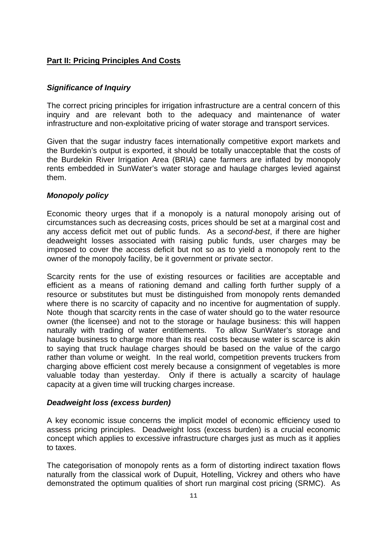# **Part II: Pricing Principles And Costs**

# *Significance of Inquiry*

The correct pricing principles for irrigation infrastructure are a central concern of this inquiry and are relevant both to the adequacy and maintenance of water infrastructure and non-exploitative pricing of water storage and transport services.

Given that the sugar industry faces internationally competitive export markets and the Burdekin's output is exported, it should be totally unacceptable that the costs of the Burdekin River Irrigation Area (BRIA) cane farmers are inflated by monopoly rents embedded in SunWater's water storage and haulage charges levied against them.

# *Monopoly policy*

Economic theory urges that if a monopoly is a natural monopoly arising out of circumstances such as decreasing costs, prices should be set at a marginal cost and any access deficit met out of public funds. As a *second-best*, if there are higher deadweight losses associated with raising public funds, user charges may be imposed to cover the access deficit but not so as to yield a monopoly rent to the owner of the monopoly facility, be it government or private sector.

Scarcity rents for the use of existing resources or facilities are acceptable and efficient as a means of rationing demand and calling forth further supply of a resource or substitutes but must be distinguished from monopoly rents demanded where there is no scarcity of capacity and no incentive for augmentation of supply. Note though that scarcity rents in the case of water should go to the water resource owner (the licensee) and not to the storage or haulage business: this will happen naturally with trading of water entitlements. To allow SunWater's storage and haulage business to charge more than its real costs because water is scarce is akin to saying that truck haulage charges should be based on the value of the cargo rather than volume or weight. In the real world, competition prevents truckers from charging above efficient cost merely because a consignment of vegetables is more valuable today than yesterday. Only if there is actually a scarcity of haulage capacity at a given time will trucking charges increase.

# *Deadweight loss (excess burden)*

A key economic issue concerns the implicit model of economic efficiency used to assess pricing principles. Deadweight loss (excess burden) is a crucial economic concept which applies to excessive infrastructure charges just as much as it applies to taxes.

The categorisation of monopoly rents as a form of distorting indirect taxation flows naturally from the classical work of Dupuit, Hotelling, Vickrey and others who have demonstrated the optimum qualities of short run marginal cost pricing (SRMC). As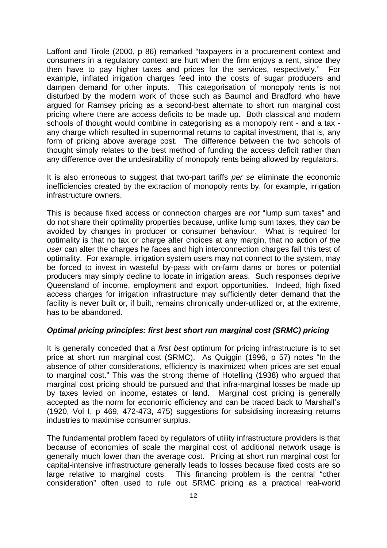Laffont and Tirole (2000, p 86) remarked "taxpayers in a procurement context and consumers in a regulatory context are hurt when the firm enjoys a rent, since they then have to pay higher taxes and prices for the services, respectively." For example, inflated irrigation charges feed into the costs of sugar producers and dampen demand for other inputs. This categorisation of monopoly rents is not disturbed by the modern work of those such as Baumol and Bradford who have argued for Ramsey pricing as a second-best alternate to short run marginal cost pricing where there are access deficits to be made up. Both classical and modern schools of thought would combine in categorising as a monopoly rent - and a tax any charge which resulted in supernormal returns to capital investment, that is, any form of pricing above average cost. The difference between the two schools of thought simply relates to the best method of funding the access deficit rather than any difference over the undesirability of monopoly rents being allowed by regulators.

It is also erroneous to suggest that two-part tariffs *per se* eliminate the economic inefficiencies created by the extraction of monopoly rents by, for example, irrigation infrastructure owners.

This is because fixed access or connection charges are *not* "lump sum taxes" and do not share their optimality properties because, unlike lump sum taxes, they *can* be avoided by changes in producer or consumer behaviour. What is required for optimality is that no tax or charge alter choices at any margin, that no action *of the user* can alter the charges he faces and high interconnection charges fail this test of optimality. For example, irrigation system users may not connect to the system, may be forced to invest in wasteful by-pass with on-farm dams or bores or potential producers may simply decline to locate in irrigation areas. Such responses deprive Queensland of income, employment and export opportunities. Indeed, high fixed access charges for irrigation infrastructure may sufficiently deter demand that the facility is never built or, if built, remains chronically under-utilized or, at the extreme, has to be abandoned.

# *Optimal pricing principles: first best short run marginal cost (SRMC) pricing*

It is generally conceded that a *first best* optimum for pricing infrastructure is to set price at short run marginal cost (SRMC). As Quiggin (1996, p 57) notes "In the absence of other considerations, efficiency is maximized when prices are set equal to marginal cost." This was the strong theme of Hotelling (1938) who argued that marginal cost pricing should be pursued and that infra-marginal losses be made up by taxes levied on income, estates or land. Marginal cost pricing is generally accepted as the norm for economic efficiency and can be traced back to Marshall's (1920, Vol I, p 469, 472-473, 475) suggestions for subsidising increasing returns industries to maximise consumer surplus.

The fundamental problem faced by regulators of utility infrastructure providers is that because of economies of scale the marginal cost of additional network usage is generally much lower than the average cost. Pricing at short run marginal cost for capital-intensive infrastructure generally leads to losses because fixed costs are so large relative to marginal costs. This financing problem is the central "other consideration" often used to rule out SRMC pricing as a practical real-world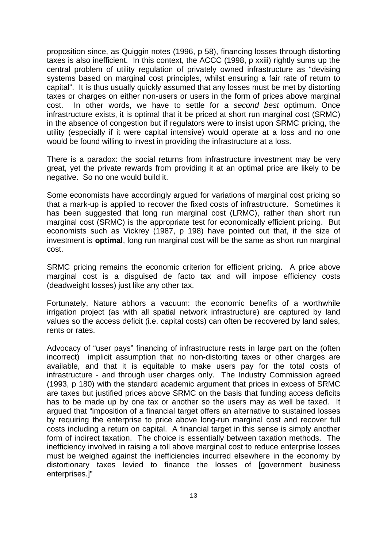proposition since, as Quiggin notes (1996, p 58), financing losses through distorting taxes is also inefficient. In this context, the ACCC (1998, p xxiii) rightly sums up the central problem of utility regulation of privately owned infrastructure as "devising systems based on marginal cost principles, whilst ensuring a fair rate of return to capital". It is thus usually quickly assumed that any losses must be met by distorting taxes or charges on either non-users or users in the form of prices above marginal cost. In other words, we have to settle for a *second best* optimum. Once infrastructure exists, it is optimal that it be priced at short run marginal cost (SRMC) in the absence of congestion but if regulators were to insist upon SRMC pricing, the utility (especially if it were capital intensive) would operate at a loss and no one would be found willing to invest in providing the infrastructure at a loss.

There is a paradox: the social returns from infrastructure investment may be very great, yet the private rewards from providing it at an optimal price are likely to be negative. So no one would build it.

Some economists have accordingly argued for variations of marginal cost pricing so that a mark-up is applied to recover the fixed costs of infrastructure. Sometimes it has been suggested that long run marginal cost (LRMC), rather than short run marginal cost (SRMC) is the appropriate test for economically efficient pricing. But economists such as Vickrey (1987, p 198) have pointed out that, if the size of investment is **optimal**, long run marginal cost will be the same as short run marginal cost.

SRMC pricing remains the economic criterion for efficient pricing. A price above marginal cost is a disguised de facto tax and will impose efficiency costs (deadweight losses) just like any other tax.

Fortunately, Nature abhors a vacuum: the economic benefits of a worthwhile irrigation project (as with all spatial network infrastructure) are captured by land values so the access deficit (i.e. capital costs) can often be recovered by land sales, rents or rates.

Advocacy of "user pays" financing of infrastructure rests in large part on the (often incorrect) implicit assumption that no non-distorting taxes or other charges are available, and that it is equitable to make users pay for the total costs of infrastructure - and through user charges only. The Industry Commission agreed (1993, p 180) with the standard academic argument that prices in excess of SRMC are taxes but justified prices above SRMC on the basis that funding access deficits has to be made up by one tax or another so the users may as well be taxed. It argued that "imposition of a financial target offers an alternative to sustained losses by requiring the enterprise to price above long-run marginal cost and recover full costs including a return on capital. A financial target in this sense is simply another form of indirect taxation. The choice is essentially between taxation methods. The inefficiency involved in raising a toll above marginal cost to reduce enterprise losses must be weighed against the inefficiencies incurred elsewhere in the economy by distortionary taxes levied to finance the losses of [government business enterprises.]"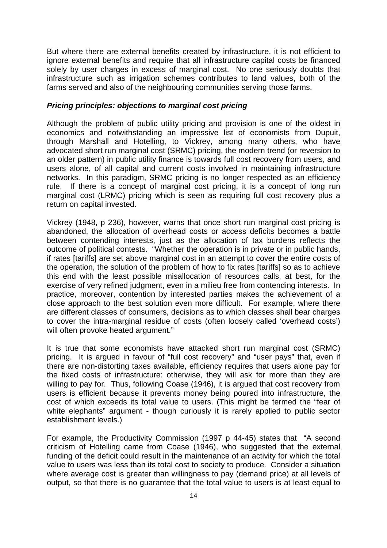But where there are external benefits created by infrastructure, it is not efficient to ignore external benefits and require that all infrastructure capital costs be financed solely by user charges in excess of marginal cost. No one seriously doubts that infrastructure such as irrigation schemes contributes to land values, both of the farms served and also of the neighbouring communities serving those farms.

# *Pricing principles: objections to marginal cost pricing*

Although the problem of public utility pricing and provision is one of the oldest in economics and notwithstanding an impressive list of economists from Dupuit, through Marshall and Hotelling, to Vickrey, among many others, who have advocated short run marginal cost (SRMC) pricing, the modern trend (or reversion to an older pattern) in public utility finance is towards full cost recovery from users, and users alone, of all capital and current costs involved in maintaining infrastructure networks. In this paradigm, SRMC pricing is no longer respected as an efficiency rule. If there is a concept of marginal cost pricing, it is a concept of long run marginal cost (LRMC) pricing which is seen as requiring full cost recovery plus a return on capital invested.

Vickrey (1948, p 236), however, warns that once short run marginal cost pricing is abandoned, the allocation of overhead costs or access deficits becomes a battle between contending interests, just as the allocation of tax burdens reflects the outcome of political contests. "Whether the operation is in private or in public hands, if rates [tariffs] are set above marginal cost in an attempt to cover the entire costs of the operation, the solution of the problem of how to fix rates [tariffs] so as to achieve this end with the least possible misallocation of resources calls, at best, for the exercise of very refined judgment, even in a milieu free from contending interests. In practice, moreover, contention by interested parties makes the achievement of a close approach to the best solution even more difficult. For example, where there are different classes of consumers, decisions as to which classes shall bear charges to cover the intra-marginal residue of costs (often loosely called 'overhead costs') will often provoke heated argument."

It is true that some economists have attacked short run marginal cost (SRMC) pricing. It is argued in favour of "full cost recovery" and "user pays" that, even if there are non-distorting taxes available, efficiency requires that users alone pay for the fixed costs of infrastructure: otherwise, they will ask for more than they are willing to pay for. Thus, following Coase (1946), it is argued that cost recovery from users is efficient because it prevents money being poured into infrastructure, the cost of which exceeds its total value to users. (This might be termed the "fear of white elephants" argument - though curiously it is rarely applied to public sector establishment levels.)

For example, the Productivity Commission (1997 p 44-45) states that "A second criticism of Hotelling came from Coase (1946), who suggested that the external funding of the deficit could result in the maintenance of an activity for which the total value to users was less than its total cost to society to produce. Consider a situation where average cost is greater than willingness to pay (demand price) at all levels of output, so that there is no guarantee that the total value to users is at least equal to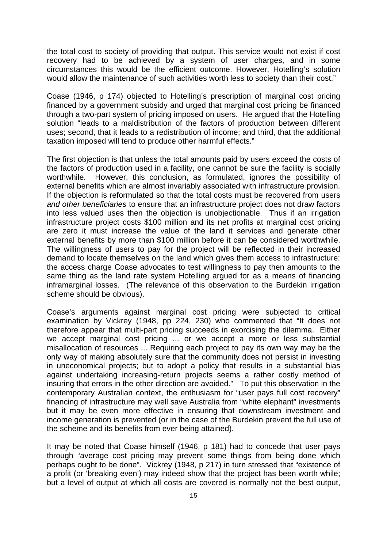the total cost to society of providing that output. This service would not exist if cost recovery had to be achieved by a system of user charges, and in some circumstances this would be the efficient outcome. However, Hotelling's solution would allow the maintenance of such activities worth less to society than their cost."

Coase (1946, p 174) objected to Hotelling's prescription of marginal cost pricing financed by a government subsidy and urged that marginal cost pricing be financed through a two-part system of pricing imposed on users. He argued that the Hotelling solution "leads to a maldistribution of the factors of production between different uses; second, that it leads to a redistribution of income; and third, that the additional taxation imposed will tend to produce other harmful effects."

The first objection is that unless the total amounts paid by users exceed the costs of the factors of production used in a facility, one cannot be sure the facility is socially worthwhile. However, this conclusion, as formulated, ignores the possibility of external benefits which are almost invariably associated with infrastructure provision. If the objection is reformulated so that the total costs must be recovered from users *and other beneficiaries* to ensure that an infrastructure project does not draw factors into less valued uses then the objection is unobjectionable. Thus if an irrigation infrastructure project costs \$100 million and its net profits at marginal cost pricing are zero it must increase the value of the land it services and generate other external benefits by more than \$100 million before it can be considered worthwhile. The willingness of users to pay for the project will be reflected in their increased demand to locate themselves on the land which gives them access to infrastructure: the access charge Coase advocates to test willingness to pay then amounts to the same thing as the land rate system Hotelling argued for as a means of financing inframarginal losses. (The relevance of this observation to the Burdekin irrigation scheme should be obvious).

Coase's arguments against marginal cost pricing were subjected to critical examination by Vickrey (1948, pp 224, 230) who commented that "It does not therefore appear that multi-part pricing succeeds in exorcising the dilemma. Either we accept marginal cost pricing ... or we accept a more or less substantial misallocation of resources ... Requiring each project to pay its own way may be the only way of making absolutely sure that the community does not persist in investing in uneconomical projects; but to adopt a policy that results in a substantial bias against undertaking increasing-return projects seems a rather costly method of insuring that errors in the other direction are avoided." To put this observation in the contemporary Australian context, the enthusiasm for "user pays full cost recovery" financing of infrastructure may well save Australia from "white elephant" investments but it may be even more effective in ensuring that downstream investment and income generation is prevented (or in the case of the Burdekin prevent the full use of the scheme and its benefits from ever being attained).

It may be noted that Coase himself (1946, p 181) had to concede that user pays through "average cost pricing may prevent some things from being done which perhaps ought to be done". Vickrey (1948, p 217) in turn stressed that "existence of a profit (or 'breaking even') may indeed show that the project has been worth while; but a level of output at which all costs are covered is normally not the best output,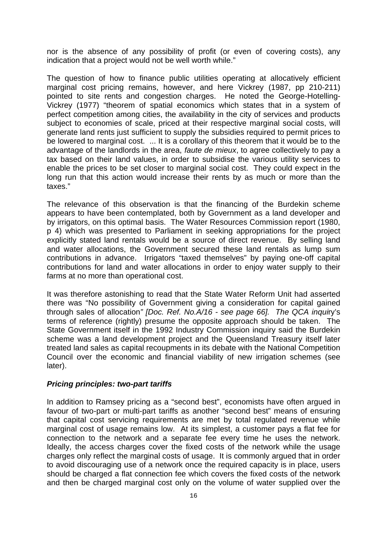nor is the absence of any possibility of profit (or even of covering costs), any indication that a project would not be well worth while."

The question of how to finance public utilities operating at allocatively efficient marginal cost pricing remains, however, and here Vickrey (1987, pp 210-211) pointed to site rents and congestion charges. He noted the George-Hotelling-Vickrey (1977) "theorem of spatial economics which states that in a system of perfect competition among cities, the availability in the city of services and products subject to economies of scale, priced at their respective marginal social costs, will generate land rents just sufficient to supply the subsidies required to permit prices to be lowered to marginal cost. ... It is a corollary of this theorem that it would be to the advantage of the landlords in the area, *faute de mieux*, to agree collectively to pay a tax based on their land values, in order to subsidise the various utility services to enable the prices to be set closer to marginal social cost. They could expect in the long run that this action would increase their rents by as much or more than the taxes."

The relevance of this observation is that the financing of the Burdekin scheme appears to have been contemplated, both by Government as a land developer and by irrigators, on this optimal basis. The Water Resources Commission report (1980, p 4) which was presented to Parliament in seeking appropriations for the project explicitly stated land rentals would be a source of direct revenue. By selling land and water allocations, the Government secured these land rentals as lump sum contributions in advance. Irrigators "taxed themselves" by paying one-off capital contributions for land and water allocations in order to enjoy water supply to their farms at no more than operational cost.

It was therefore astonishing to read that the State Water Reform Unit had asserted there was "No possibility of Government giving a consideration for capital gained through sales of allocation*" [Doc. Ref. No.A/16 - see page 66]. The QCA inqui*ry's terms of reference (rightly) presume the opposite approach should be taken. The State Government itself in the 1992 Industry Commission inquiry said the Burdekin scheme was a land development project and the Queensland Treasury itself later treated land sales as capital recoupments in its debate with the National Competition Council over the economic and financial viability of new irrigation schemes (see later).

#### *Pricing principles: two-part tariffs*

In addition to Ramsey pricing as a "second best", economists have often argued in favour of two-part or multi-part tariffs as another "second best" means of ensuring that capital cost servicing requirements are met by total regulated revenue while marginal cost of usage remains low. At its simplest, a customer pays a flat fee for connection to the network and a separate fee every time he uses the network. Ideally, the access charges cover the fixed costs of the network while the usage charges only reflect the marginal costs of usage. It is commonly argued that in order to avoid discouraging use of a network once the required capacity is in place, users should be charged a flat connection fee which covers the fixed costs of the network and then be charged marginal cost only on the volume of water supplied over the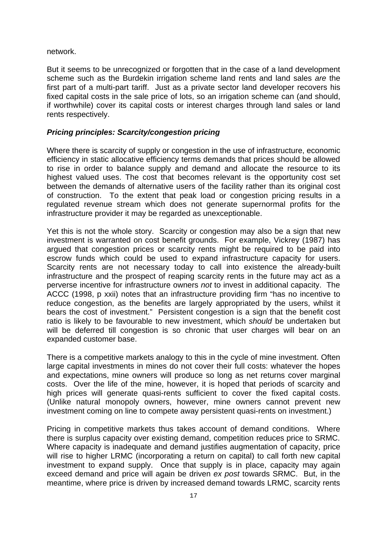network.

But it seems to be unrecognized or forgotten that in the case of a land development scheme such as the Burdekin irrigation scheme land rents and land sales *are* the first part of a multi-part tariff. Just as a private sector land developer recovers his fixed capital costs in the sale price of lots, so an irrigation scheme can (and should, if worthwhile) cover its capital costs or interest charges through land sales or land rents respectively.

# *Pricing principles: Scarcity/congestion pricing*

Where there is scarcity of supply or congestion in the use of infrastructure, economic efficiency in static allocative efficiency terms demands that prices should be allowed to rise in order to balance supply and demand and allocate the resource to its highest valued uses. The cost that becomes relevant is the opportunity cost set between the demands of alternative users of the facility rather than its original cost of construction. To the extent that peak load or congestion pricing results in a regulated revenue stream which does not generate supernormal profits for the infrastructure provider it may be regarded as unexceptionable.

Yet this is not the whole story. Scarcity or congestion may also be a sign that new investment is warranted on cost benefit grounds. For example, Vickrey (1987) has argued that congestion prices or scarcity rents might be required to be paid into escrow funds which could be used to expand infrastructure capacity for users. Scarcity rents are not necessary today to call into existence the already-built infrastructure and the prospect of reaping scarcity rents in the future may act as a perverse incentive for infrastructure owners *not* to invest in additional capacity. The ACCC (1998, p xxii) notes that an infrastructure providing firm "has no incentive to reduce congestion, as the benefits are largely appropriated by the users, whilst it bears the cost of investment." Persistent congestion is a sign that the benefit cost ratio is likely to be favourable to new investment, which *should* be undertaken but will be deferred till congestion is so chronic that user charges will bear on an expanded customer base.

There is a competitive markets analogy to this in the cycle of mine investment. Often large capital investments in mines do not cover their full costs: whatever the hopes and expectations, mine owners will produce so long as net returns cover marginal costs. Over the life of the mine, however, it is hoped that periods of scarcity and high prices will generate quasi-rents sufficient to cover the fixed capital costs. (Unlike natural monopoly owners, however, mine owners cannot prevent new investment coming on line to compete away persistent quasi-rents on investment.)

Pricing in competitive markets thus takes account of demand conditions. Where there is surplus capacity over existing demand, competition reduces price to SRMC. Where capacity is inadequate and demand justifies augmentation of capacity, price will rise to higher LRMC (incorporating a return on capital) to call forth new capital investment to expand supply. Once that supply is in place, capacity may again exceed demand and price will again be driven *ex post* towards SRMC. But, in the meantime, where price is driven by increased demand towards LRMC, scarcity rents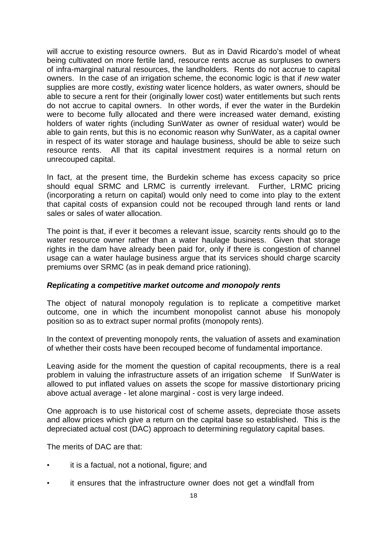will accrue to existing resource owners. But as in David Ricardo's model of wheat being cultivated on more fertile land, resource rents accrue as surpluses to owners of infra-marginal natural resources, the landholders. Rents do not accrue to capital owners. In the case of an irrigation scheme, the economic logic is that if *new* water supplies are more costly, *existing* water licence holders, as water owners, should be able to secure a rent for their (originally lower cost) water entitlements but such rents do not accrue to capital owners. In other words, if ever the water in the Burdekin were to become fully allocated and there were increased water demand, existing holders of water rights (including SunWater as owner of residual water) would be able to gain rents, but this is no economic reason why SunWater, as a capital owner in respect of its water storage and haulage business, should be able to seize such resource rents. All that its capital investment requires is a normal return on unrecouped capital.

In fact, at the present time, the Burdekin scheme has excess capacity so price should equal SRMC and LRMC is currently irrelevant. Further, LRMC pricing (incorporating a return on capital) would only need to come into play to the extent that capital costs of expansion could not be recouped through land rents or land sales or sales of water allocation.

The point is that, if ever it becomes a relevant issue, scarcity rents should go to the water resource owner rather than a water haulage business. Given that storage rights in the dam have already been paid for, only if there is congestion of channel usage can a water haulage business argue that its services should charge scarcity premiums over SRMC (as in peak demand price rationing).

# *Replicating a competitive market outcome and monopoly rents*

The object of natural monopoly regulation is to replicate a competitive market outcome, one in which the incumbent monopolist cannot abuse his monopoly position so as to extract super normal profits (monopoly rents).

In the context of preventing monopoly rents, the valuation of assets and examination of whether their costs have been recouped become of fundamental importance.

Leaving aside for the moment the question of capital recoupments, there is a real problem in valuing the infrastructure assets of an irrigation scheme If SunWater is allowed to put inflated values on assets the scope for massive distortionary pricing above actual average - let alone marginal - cost is very large indeed.

One approach is to use historical cost of scheme assets, depreciate those assets and allow prices which give a return on the capital base so established. This is the depreciated actual cost (DAC) approach to determining regulatory capital bases.

The merits of DAC are that:

- it is a factual, not a notional, figure; and
- it ensures that the infrastructure owner does not get a windfall from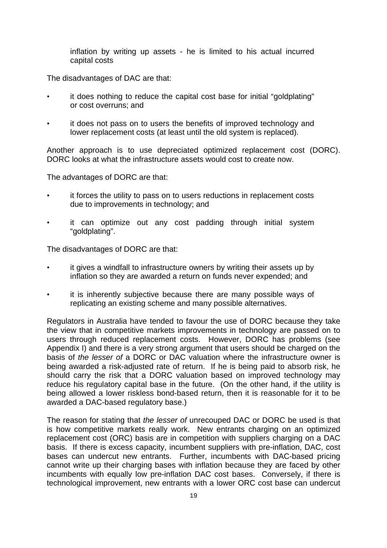inflation by writing up assets - he is limited to his actual incurred capital costs

The disadvantages of DAC are that:

- it does nothing to reduce the capital cost base for initial "goldplating" or cost overruns; and
- it does not pass on to users the benefits of improved technology and lower replacement costs (at least until the old system is replaced).

Another approach is to use depreciated optimized replacement cost (DORC). DORC looks at what the infrastructure assets would cost to create now.

The advantages of DORC are that:

- it forces the utility to pass on to users reductions in replacement costs due to improvements in technology; and
- it can optimize out any cost padding through initial system "goldplating".

The disadvantages of DORC are that:

- it gives a windfall to infrastructure owners by writing their assets up by inflation so they are awarded a return on funds never expended; and
- it is inherently subjective because there are many possible ways of replicating an existing scheme and many possible alternatives.

Regulators in Australia have tended to favour the use of DORC because they take the view that in competitive markets improvements in technology are passed on to users through reduced replacement costs. However, DORC has problems (see Appendix I) and there is a very strong argument that users should be charged on the basis of *the lesser of* a DORC or DAC valuation where the infrastructure owner is being awarded a risk-adjusted rate of return. If he is being paid to absorb risk, he should carry the risk that a DORC valuation based on improved technology may reduce his regulatory capital base in the future. (On the other hand, if the utility is being allowed a lower riskless bond-based return, then it is reasonable for it to be awarded a DAC-based regulatory base.)

The reason for stating that *the lesser of* unrecouped DAC or DORC be used is that is how competitive markets really work. New entrants charging on an optimized replacement cost (ORC) basis are in competition with suppliers charging on a DAC basis. If there is excess capacity, incumbent suppliers with pre-inflation, DAC, cost bases can undercut new entrants. Further, incumbents with DAC-based pricing cannot write up their charging bases with inflation because they are faced by other incumbents with equally low pre-inflation DAC cost bases. Conversely, if there is technological improvement, new entrants with a lower ORC cost base can undercut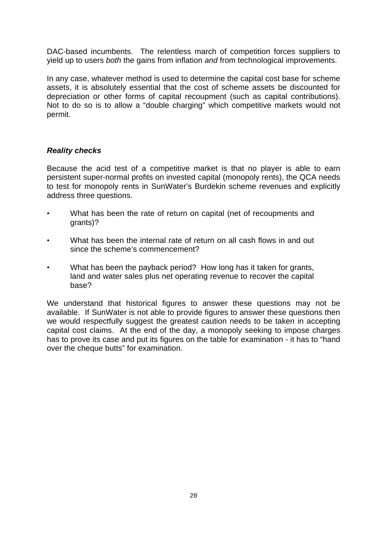DAC-based incumbents. The relentless march of competition forces suppliers to yield up to users *both* the gains from inflation *and* from technological improvements.

In any case, whatever method is used to determine the capital cost base for scheme assets, it is absolutely essential that the cost of scheme assets be discounted for depreciation or other forms of capital recoupment (such as capital contributions). Not to do so is to allow a "double charging" which competitive markets would not permit.

# *Reality checks*

Because the acid test of a competitive market is that no player is able to earn persistent super-normal profits on invested capital (monopoly rents), the QCA needs to test for monopoly rents in SunWater's Burdekin scheme revenues and explicitly address three questions.

- What has been the rate of return on capital (net of recoupments and grants)?
- What has been the internal rate of return on all cash flows in and out since the scheme's commencement?
- What has been the payback period? How long has it taken for grants, land and water sales plus net operating revenue to recover the capital base?

We understand that historical figures to answer these questions may not be available. If SunWater is not able to provide figures to answer these questions then we would respectfully suggest the greatest caution needs to be taken in accepting capital cost claims. At the end of the day, a monopoly seeking to impose charges has to prove its case and put its figures on the table for examination - it has to "hand over the cheque butts" for examination.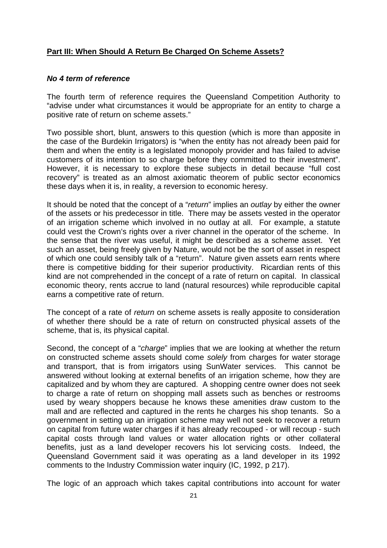# **Part III: When Should A Return Be Charged On Scheme Assets?**

# *No 4 term of reference*

The fourth term of reference requires the Queensland Competition Authority to "advise under what circumstances it would be appropriate for an entity to charge a positive rate of return on scheme assets."

Two possible short, blunt, answers to this question (which is more than apposite in the case of the Burdekin Irrigators) is "when the entity has not already been paid for them and when the entity is a legislated monopoly provider and has failed to advise customers of its intention to so charge before they committed to their investment". However, it is necessary to explore these subjects in detail because "full cost recovery" is treated as an almost axiomatic theorem of public sector economics these days when it is, in reality, a reversion to economic heresy.

It should be noted that the concept of a "*return*" implies an *outlay* by either the owner of the assets or his predecessor in title. There may be assets vested in the operator of an irrigation scheme which involved in no outlay at all. For example, a statute could vest the Crown's rights over a river channel in the operator of the scheme. In the sense that the river was useful, it might be described as a scheme asset. Yet such an asset, being freely given by Nature, would not be the sort of asset in respect of which one could sensibly talk of a "return". Nature given assets earn rents where there is competitive bidding for their superior productivity. Ricardian rents of this kind are not comprehended in the concept of a rate of return on capital. In classical economic theory, rents accrue to land (natural resources) while reproducible capital earns a competitive rate of return.

The concept of a rate of *return* on scheme assets is really apposite to consideration of whether there should be a rate of return on constructed physical assets of the scheme, that is, its physical capital.

Second, the concept of a "*charge*" implies that we are looking at whether the return on constructed scheme assets should come *solely* from charges for water storage and transport, that is from irrigators using SunWater services. This cannot be answered without looking at external benefits of an irrigation scheme, how they are capitalized and by whom they are captured. A shopping centre owner does not seek to charge a rate of return on shopping mall assets such as benches or restrooms used by weary shoppers because he knows these amenities draw custom to the mall and are reflected and captured in the rents he charges his shop tenants. So a government in setting up an irrigation scheme may well not seek to recover a return on capital from future water charges if it has already recouped - or will recoup - such capital costs through land values or water allocation rights or other collateral benefits, just as a land developer recovers his lot servicing costs. Indeed, the Queensland Government said it was operating as a land developer in its 1992 comments to the Industry Commission water inquiry (IC, 1992, p 217).

The logic of an approach which takes capital contributions into account for water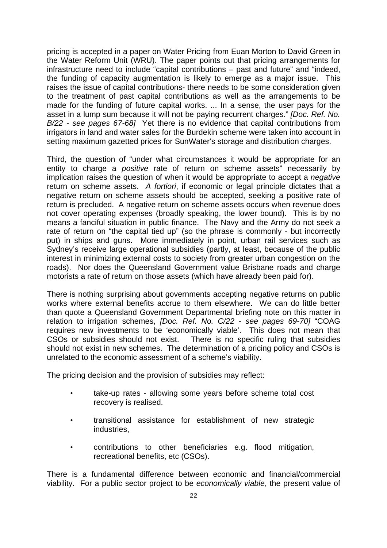pricing is accepted in a paper on Water Pricing from Euan Morton to David Green in the Water Reform Unit (WRU). The paper points out that pricing arrangements for infrastructure need to include "capital contributions – past and future" and "indeed, the funding of capacity augmentation is likely to emerge as a major issue. This raises the issue of capital contributions- there needs to be some consideration given to the treatment of past capital contributions as well as the arrangements to be made for the funding of future capital works. ... In a sense, the user pays for the asset in a lump sum because it will not be paying recurrent charges." *[Doc. Ref. No. B/22 - see pages 67-68]* Yet there is no evidence that capital contributions from irrigators in land and water sales for the Burdekin scheme were taken into account in setting maximum gazetted prices for SunWater's storage and distribution charges.

Third, the question of "under what circumstances it would be appropriate for an entity to charge a *positive* rate of return on scheme assets" necessarily by implication raises the question of when it would be appropriate to accept a *negative* return on scheme assets. *A fortiori*, if economic or legal principle dictates that a negative return on scheme assets should be accepted, seeking a positive rate of return is precluded. A negative return on scheme assets occurs when revenue does not cover operating expenses (broadly speaking, the lower bound). This is by no means a fanciful situation in public finance. The Navy and the Army do not seek a rate of return on "the capital tied up" (so the phrase is commonly - but incorrectly put) in ships and guns. More immediately in point, urban rail services such as Sydney's receive large operational subsidies (partly, at least, because of the public interest in minimizing external costs to society from greater urban congestion on the roads). Nor does the Queensland Government value Brisbane roads and charge motorists a rate of return on those assets (which have already been paid for).

There is nothing surprising about governments accepting negative returns on public works where external benefits accrue to them elsewhere. We can do little better than quote a Queensland Government Departmental briefing note on this matter in relation to irrigation schemes, *[Doc. Ref. No. C/22 - see pages 69-70]* "COAG requires new investments to be 'economically viable'. This does not mean that CSOs or subsidies should not exist. There is no specific ruling that subsidies should not exist in new schemes. The determination of a pricing policy and CSOs is unrelated to the economic assessment of a scheme's viability.

The pricing decision and the provision of subsidies may reflect:

- take-up rates allowing some years before scheme total cost recovery is realised.
- transitional assistance for establishment of new strategic industries,
- contributions to other beneficiaries e.g. flood mitigation, recreational benefits, etc (CSOs).

There is a fundamental difference between economic and financial/commercial viability. For a public sector project to be *economically viable*, the present value of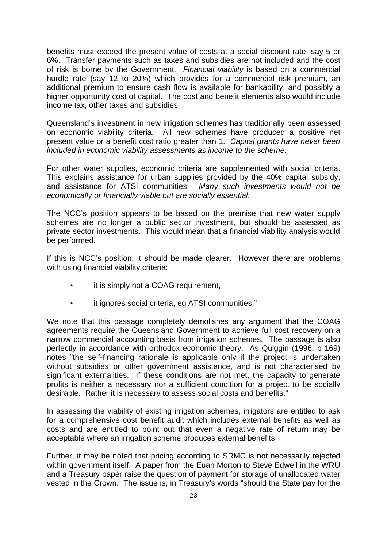benefits must exceed the present value of costs at a social discount rate, say 5 or 6%. Transfer payments such as taxes and subsidies are not included and the cost of risk is borne by the Government. *Financial viability* is based on a commercial hurdle rate (say 12 to 20%) which provides for a commercial risk premium, an additional premium to ensure cash flow is available for bankability, and possibly a higher opportunity cost of capital. The cost and benefit elements also would include income tax, other taxes and subsidies.

Queensland's investment in new irrigation schemes has traditionally been assessed on economic viability criteria. All new schemes have produced a positive net present value or a benefit cost ratio greater than 1. *Capital grants have never been included in economic viability assessments as income to the scheme.*

For other water supplies, economic criteria are supplemented with social criteria. This explains assistance for urban supplies provided by the 40% capital subsidy, and assistance for ATSI communities. *Many such investments would not be economically or financially viable but are socially essential*.

The NCC's position appears to be based on the premise that new water supply schemes are no longer a public sector investment, but should be assessed as private sector investments. This would mean that a financial viability analysis would be performed.

If this is NCC's position, it should be made clearer. However there are problems with using financial viability criteria:

- it is simply not a COAG requirement,
- it ignores social criteria, eg ATSI communities."

We note that this passage completely demolishes any argument that the COAG agreements require the Queensland Government to achieve full cost recovery on a narrow commercial accounting basis from irrigation schemes. The passage is also perfectly in accordance with orthodox economic theory. As Quiggin (1996, p 169) notes "the self-financing rationale is applicable only if the project is undertaken without subsidies or other government assistance, and is not characterised by significant externalities. If these conditions are not met, the capacity to generate profits is neither a necessary nor a sufficient condition for a project to be socially desirable. Rather it is necessary to assess social costs and benefits."

In assessing the viability of existing irrigation schemes, irrigators are entitled to ask for a comprehensive cost benefit audit which includes external benefits as well as costs and are entitled to point out that even a negative rate of return may be acceptable where an irrigation scheme produces external benefits.

Further, it may be noted that pricing according to SRMC is not necessarily rejected within government itself. A paper from the Euan Morton to Steve Edwell in the WRU and a Treasury paper raise the question of payment for storage of unallocated water vested in the Crown. The issue is, in Treasury's words "should the State pay for the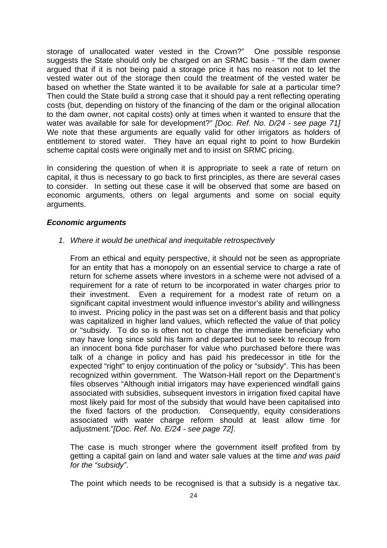storage of unallocated water vested in the Crown?" One possible response suggests the State should only be charged on an SRMC basis - "If the dam owner argued that if it is not being paid a storage price it has no reason not to let the vested water out of the storage then could the treatment of the vested water be based on whether the State wanted it to be available for sale at a particular time? Then could the State build a strong case that it should pay a rent reflecting operating costs (but, depending on history of the financing of the dam or the original allocation to the dam owner, not capital costs) only at times when it wanted to ensure that the water was available for sale for development?" *[Doc. Ref. No. D/24 - see page 71]* We note that these arguments are equally valid for other irrigators as holders of entitlement to stored water. They have an equal right to point to how Burdekin scheme capital costs were originally met and to insist on SRMC pricing.

In considering the question of when it is appropriate to seek a rate of return on capital, it thus is necessary to go back to first principles, as there are several cases to consider. In setting out these case it will be observed that some are based on economic arguments, others on legal arguments and some on social equity arguments.

# *Economic arguments*

*1. Where it would be unethical and inequitable retrospectively*

From an ethical and equity perspective, it should not be seen as appropriate for an entity that has a monopoly on an essential service to charge a rate of return for scheme assets where investors in a scheme were not advised of a requirement for a rate of return to be incorporated in water charges prior to their investment. Even a requirement for a modest rate of return on a significant capital investment would influence investor's ability and willingness to invest. Pricing policy in the past was set on a different basis and that policy was capitalized in higher land values, which reflected the value of that policy or "subsidy. To do so is often not to charge the immediate beneficiary who may have long since sold his farm and departed but to seek to recoup from an innocent bona fide purchaser for value who purchased before there was talk of a change in policy and has paid his predecessor in title for the expected "right" to enjoy continuation of the policy or "subsidy". This has been recognized within government. The Watson-Hall report on the Department's files observes "Although initial irrigators may have experienced windfall gains associated with subsidies, subsequent investors in irrigation fixed capital have most likely paid for most of the subsidy that would have been capitalised into the fixed factors of the production. Consequently, equity considerations associated with water charge reform should at least allow time for adjustment."*[Doc. Ref. No. E/24 - see page 72]*.

The case is much stronger where the government itself profited from by getting a capital gain on land and water sale values at the time *and was paid for the "subsidy"*.

The point which needs to be recognised is that a subsidy is a negative tax.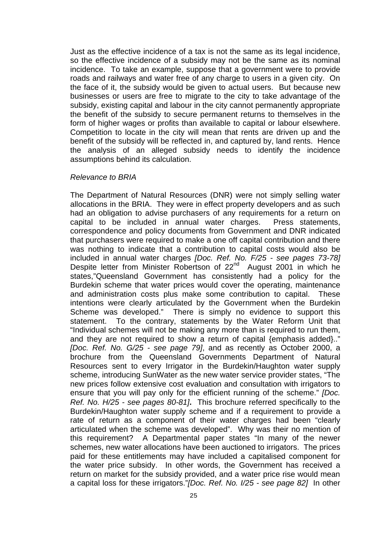Just as the effective incidence of a tax is not the same as its legal incidence, so the effective incidence of a subsidy may not be the same as its nominal incidence. To take an example, suppose that a government were to provide roads and railways and water free of any charge to users in a given city. On the face of it, the subsidy would be given to actual users. But because new businesses or users are free to migrate to the city to take advantage of the subsidy, existing capital and labour in the city cannot permanently appropriate the benefit of the subsidy to secure permanent returns to themselves in the form of higher wages or profits than available to capital or labour elsewhere. Competition to locate in the city will mean that rents are driven up and the benefit of the subsidy will be reflected in, and captured by, land rents. Hence the analysis of an alleged subsidy needs to identify the incidence assumptions behind its calculation.

#### *Relevance to BRIA*

The Department of Natural Resources (DNR) were not simply selling water allocations in the BRIA. They were in effect property developers and as such had an obligation to advise purchasers of any requirements for a return on capital to be included in annual water charges. Press statements, correspondence and policy documents from Government and DNR indicated that purchasers were required to make a one off capital contribution and there was nothing to indicate that a contribution to capital costs would also be included in annual water charges *[Doc. Ref. No. F/25 - see pages 73-78]* Despite letter from Minister Robertson of 22<sup>nd</sup> August 2001 in which he states,"Queensland Government has consistently had a policy for the Burdekin scheme that water prices would cover the operating, maintenance and administration costs plus make some contribution to capital. These intentions were clearly articulated by the Government when the Burdekin Scheme was developed." There is simply no evidence to support this statement. To the contrary, statements by the Water Reform Unit that "Individual schemes will not be making any more than is required to run them, and they are not required to show a return of capital {emphasis added}.." *[Doc. Ref. No. G/25 - see page 79]*, and as recently as October 2000, a brochure from the Queensland Governments Department of Natural Resources sent to every Irrigator in the Burdekin/Haughton water supply scheme, introducing SunWater as the new water service provider states, "The new prices follow extensive cost evaluation and consultation with irrigators to ensure that you will pay only for the efficient running of the scheme." *[Doc. Ref. No. H/25 - see pages 80-81]***.** This brochure referred specifically to the Burdekin/Haughton water supply scheme and if a requirement to provide a rate of return as a component of their water charges had been "clearly articulated when the scheme was developed". Why was their no mention of this requirement? A Departmental paper states "In many of the newer schemes, new water allocations have been auctioned to irrigators. The prices paid for these entitlements may have included a capitalised component for the water price subsidy. In other words, the Government has received a return on market for the subsidy provided, and a water price rise would mean a capital loss for these irrigators."*[Doc. Ref. No. I/25 - see page 82]* In other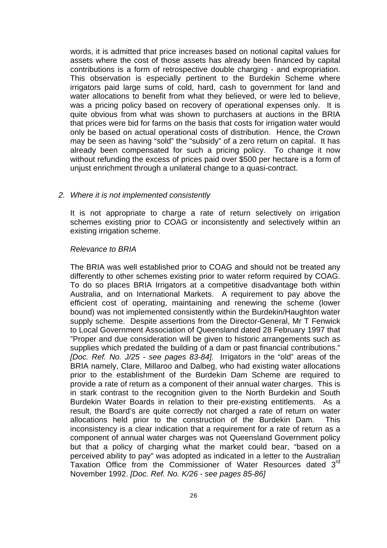words, it is admitted that price increases based on notional capital values for assets where the cost of those assets has already been financed by capital contributions is a form of retrospective double charging - and expropriation. This observation is especially pertinent to the Burdekin Scheme where irrigators paid large sums of cold, hard, cash to government for land and water allocations to benefit from what they believed, or were led to believe, was a pricing policy based on recovery of operational expenses only. It is quite obvious from what was shown to purchasers at auctions in the BRIA that prices were bid for farms on the basis that costs for irrigation water would only be based on actual operational costs of distribution. Hence, the Crown may be seen as having "sold" the "subsidy" of a zero return on capital. It has already been compensated for such a pricing policy. To change it now without refunding the excess of prices paid over \$500 per hectare is a form of unjust enrichment through a unilateral change to a quasi-contract.

#### *2. Where it is not implemented consistently*

It is not appropriate to charge a rate of return selectively on irrigation schemes existing prior to COAG or inconsistently and selectively within an existing irrigation scheme.

# *Relevance to BRIA*

The BRIA was well established prior to COAG and should not be treated any differently to other schemes existing prior to water reform required by COAG. To do so places BRIA Irrigators at a competitive disadvantage both within Australia, and on International Markets. A requirement to pay above the efficient cost of operating, maintaining and renewing the scheme (lower bound) was not implemented consistently within the Burdekin/Haughton water supply scheme. Despite assertions from the Director-General, Mr T Fenwick to Local Government Association of Queensland dated 28 February 1997 that "Proper and due consideration will be given to historic arrangements such as supplies which predated the building of a dam or past financial contributions." *[Doc. Ref. No. J/25 - see pages 83-84].* Irrigators in the "old" areas of the BRIA namely, Clare, Millaroo and Dalbeg, who had existing water allocations prior to the establishment of the Burdekin Dam Scheme are required to provide a rate of return as a component of their annual water charges. This is in stark contrast to the recognition given to the North Burdekin and South Burdekin Water Boards in relation to their pre-existing entitlements. As a result, the Board's are quite correctly not charged a rate of return on water allocations held prior to the construction of the Burdekin Dam. This inconsistency is a clear indication that a requirement for a rate of return as a component of annual water charges was not Queensland Government policy but that a policy of charging what the market could bear, "based on a perceived ability to pay" was adopted as indicated in a letter to the Australian Taxation Office from the Commissioner of Water Resources dated 3<sup>rd</sup> November 1992. *[Doc. Ref. No. K/26 - see pages 85-86]*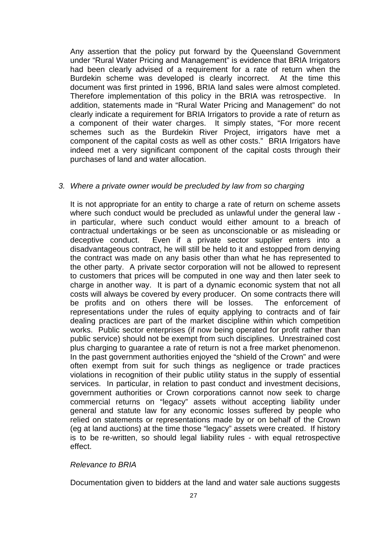Any assertion that the policy put forward by the Queensland Government under "Rural Water Pricing and Management" is evidence that BRIA Irrigators had been clearly advised of a requirement for a rate of return when the Burdekin scheme was developed is clearly incorrect. At the time this document was first printed in 1996, BRIA land sales were almost completed. Therefore implementation of this policy in the BRIA was retrospective. In addition, statements made in "Rural Water Pricing and Management" do not clearly indicate a requirement for BRIA Irrigators to provide a rate of return as a component of their water charges. It simply states, "For more recent schemes such as the Burdekin River Project, irrigators have met a component of the capital costs as well as other costs." BRIA Irrigators have indeed met a very significant component of the capital costs through their purchases of land and water allocation.

# *3. Where a private owner would be precluded by law from so charging*

It is not appropriate for an entity to charge a rate of return on scheme assets where such conduct would be precluded as unlawful under the general law in particular, where such conduct would either amount to a breach of contractual undertakings or be seen as unconscionable or as misleading or deceptive conduct. Even if a private sector supplier enters into a disadvantageous contract, he will still be held to it and estopped from denying the contract was made on any basis other than what he has represented to the other party. A private sector corporation will not be allowed to represent to customers that prices will be computed in one way and then later seek to charge in another way. It is part of a dynamic economic system that not all costs will always be covered by every producer. On some contracts there will be profits and on others there will be losses. The enforcement of representations under the rules of equity applying to contracts and of fair dealing practices are part of the market discipline within which competition works. Public sector enterprises (if now being operated for profit rather than public service) should not be exempt from such disciplines. Unrestrained cost plus charging to guarantee a rate of return is not a free market phenomenon. In the past government authorities enjoyed the "shield of the Crown" and were often exempt from suit for such things as negligence or trade practices violations in recognition of their public utility status in the supply of essential services. In particular, in relation to past conduct and investment decisions, government authorities or Crown corporations cannot now seek to charge commercial returns on "legacy" assets without accepting liability under general and statute law for any economic losses suffered by people who relied on statements or representations made by or on behalf of the Crown (eg at land auctions) at the time those "legacy" assets were created. If history is to be re-written, so should legal liability rules - with equal retrospective effect.

#### *Relevance to BRIA*

Documentation given to bidders at the land and water sale auctions suggests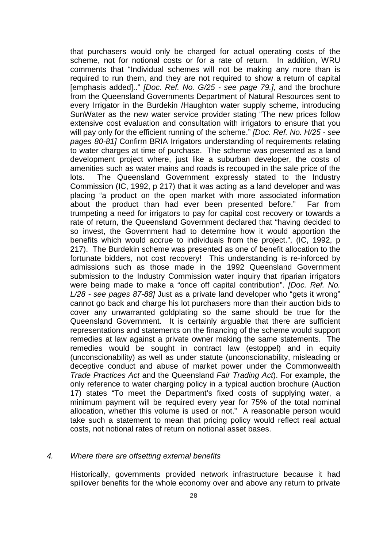that purchasers would only be charged for actual operating costs of the scheme, not for notional costs or for a rate of return. In addition, WRU comments that "Individual schemes will not be making any more than is required to run them, and they are not required to show a return of capital [emphasis added].." *[Doc. Ref. No. G/25 - see page 79.]*, and the brochure from the Queensland Governments Department of Natural Resources sent to every Irrigator in the Burdekin /Haughton water supply scheme, introducing SunWater as the new water service provider stating "The new prices follow extensive cost evaluation and consultation with irrigators to ensure that you will pay only for the efficient running of the scheme." *[Doc. Ref. No. H/25 - see pages 80-81]* Confirm BRIA Irrigators understanding of requirements relating to water charges at time of purchase. The scheme was presented as a land development project where, just like a suburban developer, the costs of amenities such as water mains and roads is recouped in the sale price of the lots. The Queensland Government expressly stated to the Industry Commission (IC, 1992, p 217) that it was acting as a land developer and was placing "a product on the open market with more associated information about the product than had ever been presented before." Far from trumpeting a need for irrigators to pay for capital cost recovery or towards a rate of return, the Queensland Government declared that "having decided to so invest, the Government had to determine how it would apportion the benefits which would accrue to individuals from the project.", (IC, 1992, p 217). The Burdekin scheme was presented as one of benefit allocation to the fortunate bidders, not cost recovery! This understanding is re-inforced by admissions such as those made in the 1992 Queensland Government submission to the Industry Commission water inquiry that riparian irrigators were being made to make a "once off capital contribution". *[Doc. Ref. No. L/28 - see pages 87-88]* Just as a private land developer who "gets it wrong" cannot go back and charge his lot purchasers more than their auction bids to cover any unwarranted goldplating so the same should be true for the Queensland Government. It is certainly arguable that there are sufficient representations and statements on the financing of the scheme would support remedies at law against a private owner making the same statements. The remedies would be sought in contract law (estoppel) and in equity (unconscionability) as well as under statute (unconscionability, misleading or deceptive conduct and abuse of market power under the Commonwealth *Trade Practices Act* and the Queensland *Fair Trading Act*). For example, the only reference to water charging policy in a typical auction brochure (Auction 17) states "To meet the Department's fixed costs of supplying water, a minimum payment will be required every year for 75% of the total nominal allocation, whether this volume is used or not." A reasonable person would take such a statement to mean that pricing policy would reflect real actual costs, not notional rates of return on notional asset bases.

#### *4. Where there are offsetting external benefits*

Historically, governments provided network infrastructure because it had spillover benefits for the whole economy over and above any return to private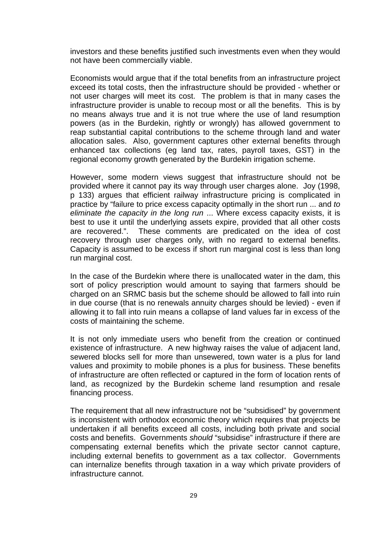investors and these benefits justified such investments even when they would not have been commercially viable.

Economists would argue that if the total benefits from an infrastructure project exceed its total costs, then the infrastructure should be provided - whether or not user charges will meet its cost. The problem is that in many cases the infrastructure provider is unable to recoup most or all the benefits. This is by no means always true and it is not true where the use of land resumption powers (as in the Burdekin, rightly or wrongly) has allowed government to reap substantial capital contributions to the scheme through land and water allocation sales. Also, government captures other external benefits through enhanced tax collections (eg land tax, rates, payroll taxes, GST) in the regional economy growth generated by the Burdekin irrigation scheme.

However, some modern views suggest that infrastructure should not be provided where it cannot pay its way through user charges alone. Joy (1998, p 133) argues that efficient railway infrastructure pricing is complicated in practice by "failure to price excess capacity optimally in the short run ... and *to eliminate the capacity in the long run* ... Where excess capacity exists, it is best to use it until the underlying assets expire, provided that all other costs are recovered.". These comments are predicated on the idea of cost recovery through user charges only, with no regard to external benefits. Capacity is assumed to be excess if short run marginal cost is less than long run marginal cost.

In the case of the Burdekin where there is unallocated water in the dam, this sort of policy prescription would amount to saying that farmers should be charged on an SRMC basis but the scheme should be allowed to fall into ruin in due course (that is no renewals annuity charges should be levied) - even if allowing it to fall into ruin means a collapse of land values far in excess of the costs of maintaining the scheme.

It is not only immediate users who benefit from the creation or continued existence of infrastructure. A new highway raises the value of adjacent land, sewered blocks sell for more than unsewered, town water is a plus for land values and proximity to mobile phones is a plus for business. These benefits of infrastructure are often reflected or captured in the form of location rents of land, as recognized by the Burdekin scheme land resumption and resale financing process.

The requirement that all new infrastructure not be "subsidised" by government is inconsistent with orthodox economic theory which requires that projects be undertaken if all benefits exceed all costs, including both private and social costs and benefits. Governments *should* "subsidise" infrastructure if there are compensating external benefits which the private sector cannot capture, including external benefits to government as a tax collector. Governments can internalize benefits through taxation in a way which private providers of infrastructure cannot.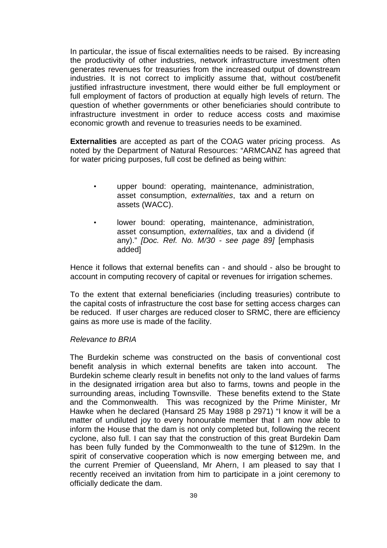In particular, the issue of fiscal externalities needs to be raised. By increasing the productivity of other industries, network infrastructure investment often generates revenues for treasuries from the increased output of downstream industries. It is not correct to implicitly assume that, without cost/benefit justified infrastructure investment, there would either be full employment or full employment of factors of production at equally high levels of return. The question of whether governments or other beneficiaries should contribute to infrastructure investment in order to reduce access costs and maximise economic growth and revenue to treasuries needs to be examined.

**Externalities** are accepted as part of the COAG water pricing process. As noted by the Department of Natural Resources: "ARMCANZ has agreed that for water pricing purposes, full cost be defined as being within:

- upper bound: operating, maintenance, administration, asset consumption, *externalities*, tax and a return on assets (WACC).
- lower bound: operating, maintenance, administration, asset consumption, *externalities*, tax and a dividend (if any)." *[Doc. Ref. No. M/30 - see page 89]* [emphasis added]

Hence it follows that external benefits can - and should - also be brought to account in computing recovery of capital or revenues for irrigation schemes.

To the extent that external beneficiaries (including treasuries) contribute to the capital costs of infrastructure the cost base for setting access charges can be reduced. If user charges are reduced closer to SRMC, there are efficiency gains as more use is made of the facility.

#### *Relevance to BRIA*

The Burdekin scheme was constructed on the basis of conventional cost benefit analysis in which external benefits are taken into account. The Burdekin scheme clearly result in benefits not only to the land values of farms in the designated irrigation area but also to farms, towns and people in the surrounding areas, including Townsville. These benefits extend to the State and the Commonwealth. This was recognized by the Prime Minister, Mr Hawke when he declared (Hansard 25 May 1988 p 2971) "I know it will be a matter of undiluted joy to every honourable member that I am now able to inform the House that the dam is not only completed but, following the recent cyclone, also full. I can say that the construction of this great Burdekin Dam has been fully funded by the Commonwealth to the tune of \$129m. In the spirit of conservative cooperation which is now emerging between me, and the current Premier of Queensland, Mr Ahern, I am pleased to say that I recently received an invitation from him to participate in a joint ceremony to officially dedicate the dam.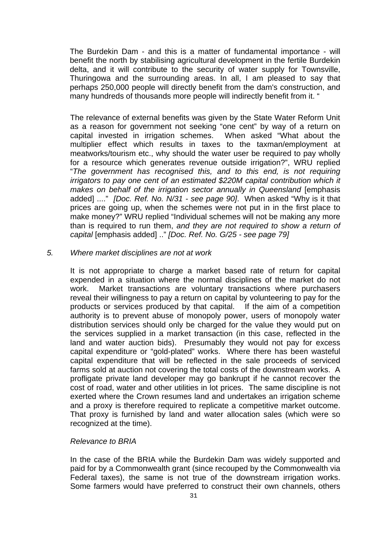The Burdekin Dam - and this is a matter of fundamental importance - will benefit the north by stabilising agricultural development in the fertile Burdekin delta, and it will contribute to the security of water supply for Townsville, Thuringowa and the surrounding areas. In all, I am pleased to say that perhaps 250,000 people will directly benefit from the dam's construction, and many hundreds of thousands more people will indirectly benefit from it. "

The relevance of external benefits was given by the State Water Reform Unit as a reason for government not seeking "one cent" by way of a return on capital invested in irrigation schemes. When asked "What about the multiplier effect which results in taxes to the taxman/employment at meatworks/tourism etc., why should the water user be required to pay wholly for a resource which generates revenue outside irrigation?", WRU replied "*The government has recognised this, and to this end, is not requiring irrigators to pay one cent of an estimated \$220M capital contribution which it makes on behalf of the irrigation sector annually in Queensland* [emphasis added] ...." *[Doc. Ref. No. N/31 - see page 90]*. When asked "Why is it that prices are going up, when the schemes were not put in in the first place to make money?" WRU replied "Individual schemes will not be making any more than is required to run them, *and they are not required to show a return of capital* [emphasis added] .." *[Doc. Ref. No. G/25 - see page 79]*

#### *5. Where market disciplines are not at work*

It is not appropriate to charge a market based rate of return for capital expended in a situation where the normal disciplines of the market do not work. Market transactions are voluntary transactions where purchasers reveal their willingness to pay a return on capital by volunteering to pay for the products or services produced by that capital. If the aim of a competition authority is to prevent abuse of monopoly power, users of monopoly water distribution services should only be charged for the value they would put on the services supplied in a market transaction (in this case, reflected in the land and water auction bids). Presumably they would not pay for excess capital expenditure or "gold-plated" works. Where there has been wasteful capital expenditure that will be reflected in the sale proceeds of serviced farms sold at auction not covering the total costs of the downstream works. A profligate private land developer may go bankrupt if he cannot recover the cost of road, water and other utilities in lot prices. The same discipline is not exerted where the Crown resumes land and undertakes an irrigation scheme and a proxy is therefore required to replicate a competitive market outcome. That proxy is furnished by land and water allocation sales (which were so recognized at the time).

#### *Relevance to BRIA*

In the case of the BRIA while the Burdekin Dam was widely supported and paid for by a Commonwealth grant (since recouped by the Commonwealth via Federal taxes), the same is not true of the downstream irrigation works. Some farmers would have preferred to construct their own channels, others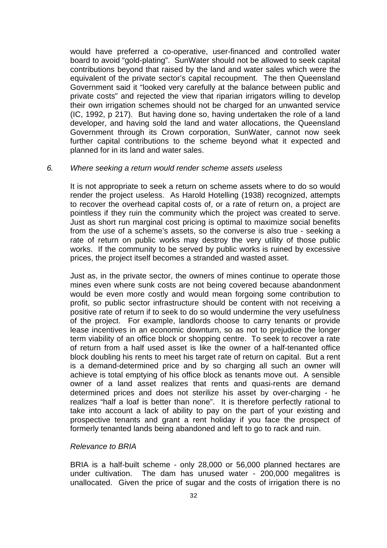would have preferred a co-operative, user-financed and controlled water board to avoid "gold-plating". SunWater should not be allowed to seek capital contributions beyond that raised by the land and water sales which were the equivalent of the private sector's capital recoupment. The then Queensland Government said it "looked very carefully at the balance between public and private costs" and rejected the view that riparian irrigators willing to develop their own irrigation schemes should not be charged for an unwanted service (IC, 1992, p 217). But having done so, having undertaken the role of a land developer, and having sold the land and water allocations, the Queensland Government through its Crown corporation, SunWater, cannot now seek further capital contributions to the scheme beyond what it expected and planned for in its land and water sales.

#### *6. Where seeking a return would render scheme assets useless*

It is not appropriate to seek a return on scheme assets where to do so would render the project useless. As Harold Hotelling (1938) recognized, attempts to recover the overhead capital costs of, or a rate of return on, a project are pointless if they ruin the community which the project was created to serve. Just as short run marginal cost pricing is optimal to maximize social benefits from the use of a scheme's assets, so the converse is also true - seeking a rate of return on public works may destroy the very utility of those public works. If the community to be served by public works is ruined by excessive prices, the project itself becomes a stranded and wasted asset.

Just as, in the private sector, the owners of mines continue to operate those mines even where sunk costs are not being covered because abandonment would be even more costly and would mean forgoing some contribution to profit, so public sector infrastructure should be content with not receiving a positive rate of return if to seek to do so would undermine the very usefulness of the project. For example, landlords choose to carry tenants or provide lease incentives in an economic downturn, so as not to prejudice the longer term viability of an office block or shopping centre. To seek to recover a rate of return from a half used asset is like the owner of a half-tenanted office block doubling his rents to meet his target rate of return on capital. But a rent is a demand-determined price and by so charging all such an owner will achieve is total emptying of his office block as tenants move out. A sensible owner of a land asset realizes that rents and quasi-rents are demand determined prices and does not sterilize his asset by over-charging - he realizes "half a loaf is better than none". It is therefore perfectly rational to take into account a lack of ability to pay on the part of your existing and prospective tenants and grant a rent holiday if you face the prospect of formerly tenanted lands being abandoned and left to go to rack and ruin.

# *Relevance to BRIA*

BRIA is a half-built scheme - only 28,000 or 56,000 planned hectares are under cultivation. The dam has unused water - 200,000 megalitres is unallocated. Given the price of sugar and the costs of irrigation there is no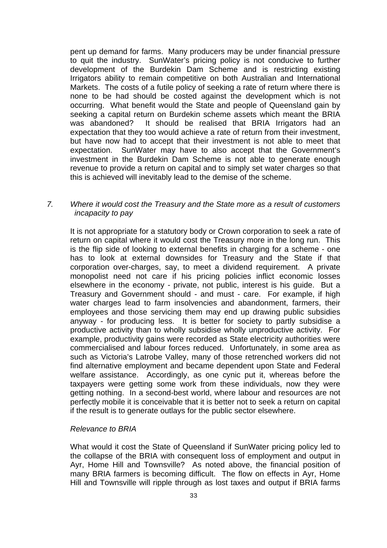pent up demand for farms. Many producers may be under financial pressure to quit the industry. SunWater's pricing policy is not conducive to further development of the Burdekin Dam Scheme and is restricting existing Irrigators ability to remain competitive on both Australian and International Markets. The costs of a futile policy of seeking a rate of return where there is none to be had should be costed against the development which is not occurring. What benefit would the State and people of Queensland gain by seeking a capital return on Burdekin scheme assets which meant the BRIA was abandoned? It should be realised that BRIA Irrigators had an expectation that they too would achieve a rate of return from their investment, but have now had to accept that their investment is not able to meet that expectation. SunWater may have to also accept that the Government's investment in the Burdekin Dam Scheme is not able to generate enough revenue to provide a return on capital and to simply set water charges so that this is achieved will inevitably lead to the demise of the scheme.

# *7. Where it would cost the Treasury and the State more as a result of customers incapacity to pay*

It is not appropriate for a statutory body or Crown corporation to seek a rate of return on capital where it would cost the Treasury more in the long run. This is the flip side of looking to external benefits in charging for a scheme - one has to look at external downsides for Treasury and the State if that corporation over-charges, say, to meet a dividend requirement. A private monopolist need not care if his pricing policies inflict economic losses elsewhere in the economy - private, not public, interest is his guide. But a Treasury and Government should - and must - care. For example, if high water charges lead to farm insolvencies and abandonment, farmers, their employees and those servicing them may end up drawing public subsidies anyway - for producing less. It is better for society to partly subsidise a productive activity than to wholly subsidise wholly unproductive activity. For example, productivity gains were recorded as State electricity authorities were commercialised and labour forces reduced. Unfortunately, in some area as such as Victoria's Latrobe Valley, many of those retrenched workers did not find alternative employment and became dependent upon State and Federal welfare assistance. Accordingly, as one cynic put it, whereas before the taxpayers were getting some work from these individuals, now they were getting nothing. In a second-best world, where labour and resources are not perfectly mobile it is conceivable that it is better not to seek a return on capital if the result is to generate outlays for the public sector elsewhere.

# *Relevance to BRIA*

What would it cost the State of Queensland if SunWater pricing policy led to the collapse of the BRIA with consequent loss of employment and output in Ayr, Home Hill and Townsville? As noted above, the financial position of many BRIA farmers is becoming difficult. The flow on effects in Ayr, Home Hill and Townsville will ripple through as lost taxes and output if BRIA farms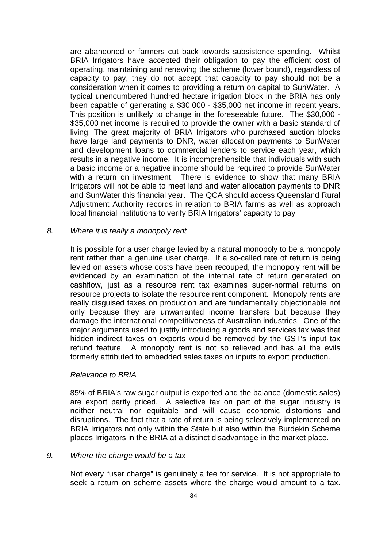are abandoned or farmers cut back towards subsistence spending. Whilst BRIA Irrigators have accepted their obligation to pay the efficient cost of operating, maintaining and renewing the scheme (lower bound), regardless of capacity to pay, they do not accept that capacity to pay should not be a consideration when it comes to providing a return on capital to SunWater. A typical unencumbered hundred hectare irrigation block in the BRIA has only been capable of generating a \$30,000 - \$35,000 net income in recent years. This position is unlikely to change in the foreseeable future. The \$30,000 - \$35,000 net income is required to provide the owner with a basic standard of living. The great majority of BRIA Irrigators who purchased auction blocks have large land payments to DNR, water allocation payments to SunWater and development loans to commercial lenders to service each year, which results in a negative income. It is incomprehensible that individuals with such a basic income or a negative income should be required to provide SunWater with a return on investment. There is evidence to show that many BRIA Irrigators will not be able to meet land and water allocation payments to DNR and SunWater this financial year. The QCA should access Queensland Rural Adjustment Authority records in relation to BRIA farms as well as approach local financial institutions to verify BRIA Irrigators' capacity to pay

#### *8. Where it is really a monopoly rent*

It is possible for a user charge levied by a natural monopoly to be a monopoly rent rather than a genuine user charge. If a so-called rate of return is being levied on assets whose costs have been recouped, the monopoly rent will be evidenced by an examination of the internal rate of return generated on cashflow, just as a resource rent tax examines super-normal returns on resource projects to isolate the resource rent component. Monopoly rents are really disguised taxes on production and are fundamentally objectionable not only because they are unwarranted income transfers but because they damage the international competitiveness of Australian industries. One of the major arguments used to justify introducing a goods and services tax was that hidden indirect taxes on exports would be removed by the GST's input tax refund feature. A monopoly rent is not so relieved and has all the evils formerly attributed to embedded sales taxes on inputs to export production.

#### *Relevance to BRIA*

85% of BRIA's raw sugar output is exported and the balance (domestic sales) are export parity priced. A selective tax on part of the sugar industry is neither neutral nor equitable and will cause economic distortions and disruptions. The fact that a rate of return is being selectively implemented on BRIA Irrigators not only within the State but also within the Burdekin Scheme places Irrigators in the BRIA at a distinct disadvantage in the market place.

#### *9. Where the charge would be a tax*

Not every "user charge" is genuinely a fee for service. It is not appropriate to seek a return on scheme assets where the charge would amount to a tax.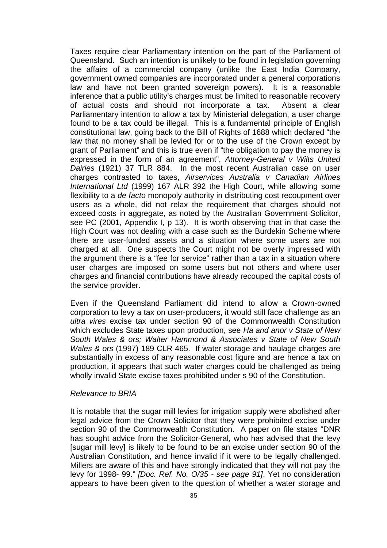Taxes require clear Parliamentary intention on the part of the Parliament of Queensland. Such an intention is unlikely to be found in legislation governing the affairs of a commercial company (unlike the East India Company, government owned companies are incorporated under a general corporations law and have not been granted sovereign powers). It is a reasonable inference that a public utility's charges must be limited to reasonable recovery of actual costs and should not incorporate a tax. Absent a clear Parliamentary intention to allow a tax by Ministerial delegation, a user charge found to be a tax could be illegal. This is a fundamental principle of English constitutional law, going back to the Bill of Rights of 1688 which declared "the law that no money shall be levied for or to the use of the Crown except by grant of Parliament" and this is true even if "the obligation to pay the money is expressed in the form of an agreement", *Attorney-General v Wilts United Dairies* (1921) 37 TLR 884. In the most recent Australian case on user charges contrasted to taxes, *Airservices Australia v Canadian Airlines International Ltd* (1999) 167 ALR 392 the High Court, while allowing some flexibility to a *de facto* monopoly authority in distributing cost recoupment over users as a whole, did not relax the requirement that charges should not exceed costs in aggregate, as noted by the Australian Government Solicitor, see PC (2001, Appendix I, p 13). It is worth observing that in that case the High Court was not dealing with a case such as the Burdekin Scheme where there are user-funded assets and a situation where some users are not charged at all. One suspects the Court might not be overly impressed with the argument there is a "fee for service" rather than a tax in a situation where user charges are imposed on some users but not others and where user charges and financial contributions have already recouped the capital costs of the service provider.

Even if the Queensland Parliament did intend to allow a Crown-owned corporation to levy a tax on user-producers, it would still face challenge as an *ultra vires* excise tax under section 90 of the Commonwealth Constitution which excludes State taxes upon production, see *Ha and anor v State of New South Wales & ors; Walter Hammond & Associates v State of New South Wales & ors* (1997) 189 CLR 465. If water storage and haulage charges are substantially in excess of any reasonable cost figure and are hence a tax on production, it appears that such water charges could be challenged as being wholly invalid State excise taxes prohibited under s 90 of the Constitution.

#### *Relevance to BRIA*

It is notable that the sugar mill levies for irrigation supply were abolished after legal advice from the Crown Solicitor that they were prohibited excise under section 90 of the Commonwealth Constitution. A paper on file states "DNR has sought advice from the Solicitor-General, who has advised that the levy [sugar mill levy] is likely to be found to be an excise under section 90 of the Australian Constitution, and hence invalid if it were to be legally challenged. Millers are aware of this and have strongly indicated that they will not pay the levy for 1998- 99." *[Doc. Ref. No. O/35 - see page 91]*. Yet no consideration appears to have been given to the question of whether a water storage and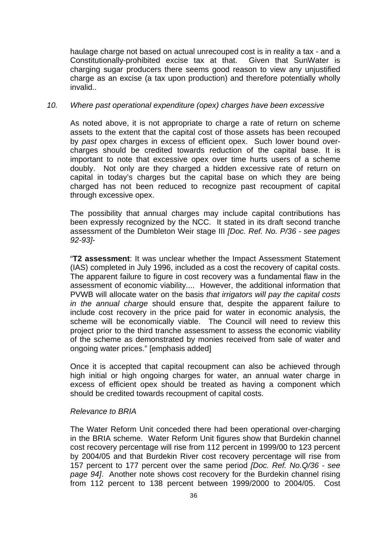haulage charge not based on actual unrecouped cost is in reality a tax - and a Constitutionally-prohibited excise tax at that. Given that SunWater is charging sugar producers there seems good reason to view any unjustified charge as an excise (a tax upon production) and therefore potentially wholly invalid..

#### *10. Where past operational expenditure (opex) charges have been excessive*

As noted above, it is not appropriate to charge a rate of return on scheme assets to the extent that the capital cost of those assets has been recouped by *past* opex charges in excess of efficient opex. Such lower bound overcharges should be credited towards reduction of the capital base. It is important to note that excessive opex over time hurts users of a scheme doubly. Not only are they charged a hidden excessive rate of return on capital in today's charges but the capital base on which they are being charged has not been reduced to recognize past recoupment of capital through excessive opex.

The possibility that annual charges may include capital contributions has been expressly recognized by the NCC. It stated in its draft second tranche assessment of the Dumbleton Weir stage III *[Doc. Ref. No. P/36 - see pages 92-93]*-

"**T2 assessment**: It was unclear whether the Impact Assessment Statement (IAS) completed in July 1996, included as a cost the recovery of capital costs. The apparent failure to figure in cost recovery was a fundamental flaw in the assessment of economic viability.... However, the additional information that PVWB will allocate water on the basis *that irrigators will pay the capital costs in the annual charge* should ensure that, despite the apparent failure to include cost recovery in the price paid for water in economic analysis, the scheme will be economically viable. The Council will need to review this project prior to the third tranche assessment to assess the economic viability of the scheme as demonstrated by monies received from sale of water and ongoing water prices." [emphasis added]

Once it is accepted that capital recoupment can also be achieved through high initial or high ongoing charges for water, an annual water charge in excess of efficient opex should be treated as having a component which should be credited towards recoupment of capital costs.

# *Relevance to BRIA*

The Water Reform Unit conceded there had been operational over-charging in the BRIA scheme. Water Reform Unit figures show that Burdekin channel cost recovery percentage will rise from 112 percent in 1999/00 to 123 percent by 2004/05 and that Burdekin River cost recovery percentage will rise from 157 percent to 177 percent over the same period *[Doc. Ref. No.Q/36 - see page 94]*. Another note shows cost recovery for the Burdekin channel rising from 112 percent to 138 percent between 1999/2000 to 2004/05. Cost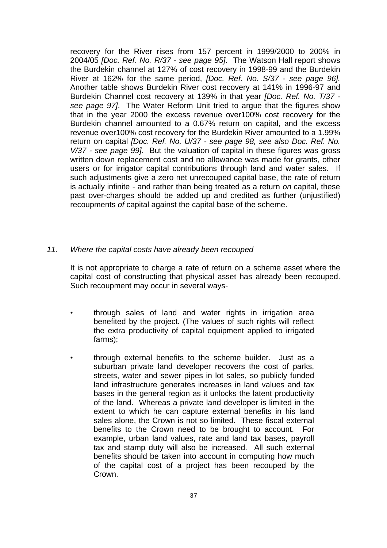recovery for the River rises from 157 percent in 1999/2000 to 200% in 2004/05 *[Doc. Ref. No. R/37 - see page 95]*. The Watson Hall report shows the Burdekin channel at 127% of cost recovery in 1998-99 and the Burdekin River at 162% for the same period, *[Doc. Ref. No. S/37 - see page 96].* Another table shows Burdekin River cost recovery at 141% in 1996-97 and Burdekin Channel cost recovery at 139% in that year *[Doc. Ref. No. T/37 see page 97]*. The Water Reform Unit tried to argue that the figures show that in the year 2000 the excess revenue over100% cost recovery for the Burdekin channel amounted to a 0.67% return on capital, and the excess revenue over100% cost recovery for the Burdekin River amounted to a 1.99% return on capital *[Doc. Ref. No. U/37 - see page 98, see also Doc. Ref. No. V/37 - see page 99]*. But the valuation of capital in these figures was gross written down replacement cost and no allowance was made for grants, other users or for irrigator capital contributions through land and water sales. If such adjustments give a zero net unrecouped capital base, the rate of return is actually infinite - and rather than being treated as a return *on* capital, these past over-charges should be added up and credited as further (unjustified) recoupments *of* capital against the capital base of the scheme.

# *11. Where the capital costs have already been recouped*

It is not appropriate to charge a rate of return on a scheme asset where the capital cost of constructing that physical asset has already been recouped. Such recoupment may occur in several ways-

- through sales of land and water rights in irrigation area benefited by the project. (The values of such rights will reflect the extra productivity of capital equipment applied to irrigated farms);
- through external benefits to the scheme builder. Just as a suburban private land developer recovers the cost of parks, streets, water and sewer pipes in lot sales, so publicly funded land infrastructure generates increases in land values and tax bases in the general region as it unlocks the latent productivity of the land. Whereas a private land developer is limited in the extent to which he can capture external benefits in his land sales alone, the Crown is not so limited. These fiscal external benefits to the Crown need to be brought to account. For example, urban land values, rate and land tax bases, payroll tax and stamp duty will also be increased. All such external benefits should be taken into account in computing how much of the capital cost of a project has been recouped by the Crown.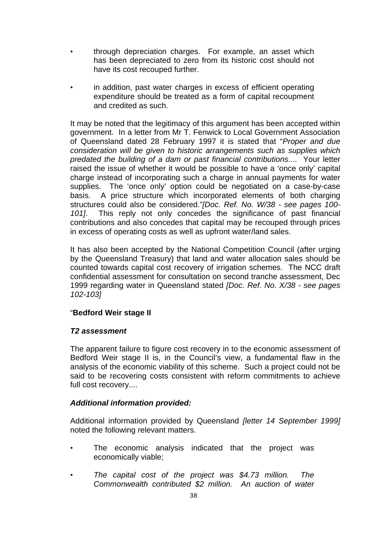- through depreciation charges. For example, an asset which has been depreciated to zero from its historic cost should not have its cost recouped further.
- in addition, past water charges in excess of efficient operating expenditure should be treated as a form of capital recoupment and credited as such.

It may be noted that the legitimacy of this argument has been accepted within government. In a letter from Mr T. Fenwick to Local Government Association of Queensland dated 28 February 1997 it is stated that "*Proper and due consideration will be given to historic arrangements such as supplies which predated the building of a dam or past financial contributions..*.. Your letter raised the issue of whether it would be possible to have a 'once only' capital charge instead of incorporating such a charge in annual payments for water supplies. The 'once only' option could be negotiated on a case-by-case basis. A price structure which incorporated elements of both charging structures could also be considered."*[Doc. Ref. No. W/38 - see pages 100- 101]*. This reply not only concedes the significance of past financial contributions and also concedes that capital may be recouped through prices in excess of operating costs as well as upfront water/land sales.

It has also been accepted by the National Competition Council (after urging by the Queensland Treasury) that land and water allocation sales should be counted towards capital cost recovery of irrigation schemes. The NCC draft confidential assessment for consultation on second tranche assessment, Dec 1999 regarding water in Queensland stated *[Doc. Ref. No. X/38 - see pages 102-103]*

# "**Bedford Weir stage II**

# *T2 assessment*

The apparent failure to figure cost recovery in to the economic assessment of Bedford Weir stage II is, in the Council's view, a fundamental flaw in the analysis of the economic viability of this scheme. Such a project could not be said to be recovering costs consistent with reform commitments to achieve full cost recovery....

# *Additional information provided:*

Additional information provided by Queensland *[letter 14 September 1999]* noted the following relevant matters.

- The economic analysis indicated that the project was economically viable;
- *The capital cost of the project was \$4.73 million. The Commonwealth contributed \$2 million. An auction of water*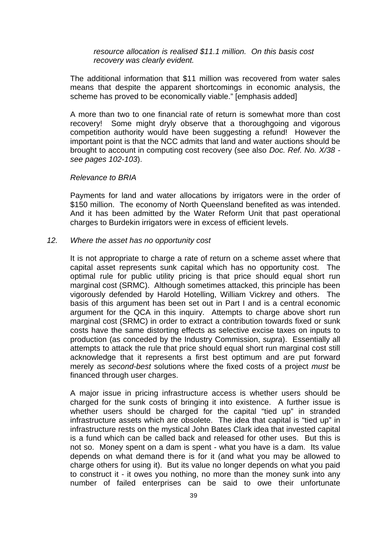*resource allocation is realised \$11.1 million. On this basis cost recovery was clearly evident.*

The additional information that \$11 million was recovered from water sales means that despite the apparent shortcomings in economic analysis, the scheme has proved to be economically viable." [emphasis added]

A more than two to one financial rate of return is somewhat more than cost recovery! Some might dryly observe that a thoroughgoing and vigorous competition authority would have been suggesting a refund! However the important point is that the NCC admits that land and water auctions should be brought to account in computing cost recovery (see also *Doc. Ref. No. X/38 see pages 102-103*).

#### *Relevance to BRIA*

Payments for land and water allocations by irrigators were in the order of \$150 million. The economy of North Queensland benefited as was intended. And it has been admitted by the Water Reform Unit that past operational charges to Burdekin irrigators were in excess of efficient levels.

#### *12. Where the asset has no opportunity cost*

It is not appropriate to charge a rate of return on a scheme asset where that capital asset represents sunk capital which has no opportunity cost. The optimal rule for public utility pricing is that price should equal short run marginal cost (SRMC). Although sometimes attacked, this principle has been vigorously defended by Harold Hotelling, William Vickrey and others. The basis of this argument has been set out in Part I and is a central economic argument for the QCA in this inquiry. Attempts to charge above short run marginal cost (SRMC) in order to extract a contribution towards fixed or sunk costs have the same distorting effects as selective excise taxes on inputs to production (as conceded by the Industry Commission, *supra*). Essentially all attempts to attack the rule that price should equal short run marginal cost still acknowledge that it represents a first best optimum and are put forward merely as *second-best* solutions where the fixed costs of a project *must* be financed through user charges.

A major issue in pricing infrastructure access is whether users should be charged for the sunk costs of bringing it into existence. A further issue is whether users should be charged for the capital "tied up" in stranded infrastructure assets which are obsolete. The idea that capital is "tied up" in infrastructure rests on the mystical John Bates Clark idea that invested capital is a fund which can be called back and released for other uses. But this is not so. Money spent on a dam is spent - what you have is a dam. Its value depends on what demand there is for it (and what you may be allowed to charge others for using it). But its value no longer depends on what you paid to construct it - it owes you nothing, no more than the money sunk into any number of failed enterprises can be said to owe their unfortunate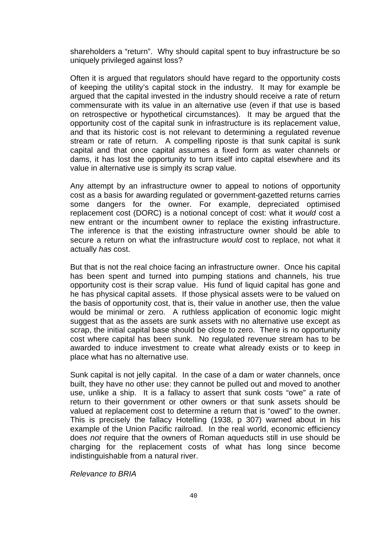shareholders a "return". Why should capital spent to buy infrastructure be so uniquely privileged against loss?

Often it is argued that regulators should have regard to the opportunity costs of keeping the utility's capital stock in the industry. It may for example be argued that the capital invested in the industry should receive a rate of return commensurate with its value in an alternative use (even if that use is based on retrospective or hypothetical circumstances). It may be argued that the opportunity cost of the capital sunk in infrastructure is its replacement value, and that its historic cost is not relevant to determining a regulated revenue stream or rate of return. A compelling riposte is that sunk capital is sunk capital and that once capital assumes a fixed form as water channels or dams, it has lost the opportunity to turn itself into capital elsewhere and its value in alternative use is simply its scrap value.

Any attempt by an infrastructure owner to appeal to notions of opportunity cost as a basis for awarding regulated or government-gazetted returns carries some dangers for the owner. For example, depreciated optimised replacement cost (DORC) is a notional concept of cost: what it *would* cost a new entrant or the incumbent owner to replace the existing infrastructure. The inference is that the existing infrastructure owner should be able to secure a return on what the infrastructure *would* cost to replace, not what it actually *has* cost.

But that is not the real choice facing an infrastructure owner. Once his capital has been spent and turned into pumping stations and channels, his true opportunity cost is their scrap value. His fund of liquid capital has gone and he has physical capital assets. If those physical assets were to be valued on the basis of opportunity cost, that is, their value in another use, then the value would be minimal or zero. A ruthless application of economic logic might suggest that as the assets are sunk assets with no alternative use except as scrap, the initial capital base should be close to zero. There is no opportunity cost where capital has been sunk. No regulated revenue stream has to be awarded to induce investment to create what already exists or to keep in place what has no alternative use.

Sunk capital is not jelly capital. In the case of a dam or water channels, once built, they have no other use: they cannot be pulled out and moved to another use, unlike a ship. It is a fallacy to assert that sunk costs "owe" a rate of return to their government or other owners or that sunk assets should be valued at replacement cost to determine a return that is "owed" to the owner. This is precisely the fallacy Hotelling (1938, p 307) warned about in his example of the Union Pacific railroad. In the real world, economic efficiency does *not* require that the owners of Roman aqueducts still in use should be charging for the replacement costs of what has long since become indistinguishable from a natural river.

*Relevance to BRIA*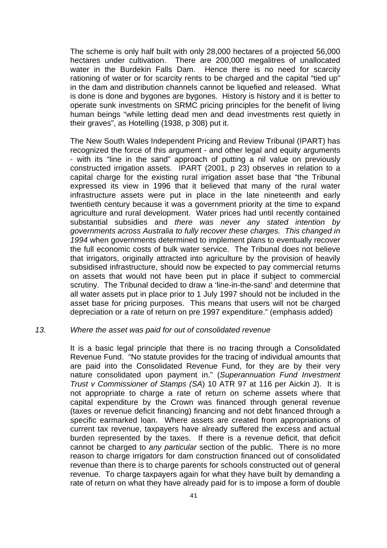The scheme is only half built with only 28,000 hectares of a projected 56,000 hectares under cultivation. There are 200,000 megalitres of unallocated water in the Burdekin Falls Dam. Hence there is no need for scarcity rationing of water or for scarcity rents to be charged and the capital "tied up" in the dam and distribution channels cannot be liquefied and released. What is done is done and bygones are bygones. History is history and it is better to operate sunk investments on SRMC pricing principles for the benefit of living human beings "while letting dead men and dead investments rest quietly in their graves", as Hotelling (1938, p 308) put it.

The New South Wales Independent Pricing and Review Tribunal (IPART) has recognized the force of this argument - and other legal and equity arguments - with its "line in the sand" approach of putting a nil value on previously constructed irrigation assets. IPART (2001, p 23) observes in relation to a capital charge for the existing rural irrigation asset base that "the Tribunal expressed its view in 1996 that it believed that many of the rural water infrastructure assets were put in place in the late nineteenth and early twentieth century because it was a government priority at the time to expand agriculture and rural development. Water prices had until recently contained substantial subsidies and *there was never any stated intention by governments across Australia to fully recover these charges. This changed in 1994* when governments determined to implement plans to eventually recover the full economic costs of bulk water service. The Tribunal does not believe that irrigators, originally attracted into agriculture by the provision of heavily subsidised infrastructure, should now be expected to pay commercial returns on assets that would not have been put in place if subject to commercial scrutiny. The Tribunal decided to draw a 'line-in-the-sand' and determine that all water assets put in place prior to 1 July 1997 should not be included in the asset base for pricing purposes. This means that users will not be charged depreciation or a rate of return on pre 1997 expenditure." (emphasis added)

#### *13. Where the asset was paid for out of consolidated revenue*

It is a basic legal principle that there is no tracing through a Consolidated Revenue Fund. "No statute provides for the tracing of individual amounts that are paid into the Consolidated Revenue Fund, for they are by their very nature consolidated upon payment in." (*Superannuation Fund Investment Trust v Commissioner of Stamps (SA*) 10 ATR 97 at 116 per Aickin J). It is not appropriate to charge a rate of return on scheme assets where that capital expenditure by the Crown was financed through general revenue (taxes or revenue deficit financing) financing and not debt financed through a specific earmarked loan. Where assets are created from appropriations of current tax revenue, taxpayers have already suffered the excess and actual burden represented by the taxes. If there is a revenue deficit, that deficit cannot be charged to *any particular* section of the public. There is no more reason to charge irrigators for dam construction financed out of consolidated revenue than there is to charge parents for schools constructed out of general revenue. To charge taxpayers again for what they have built by demanding a rate of return on what they have already paid for is to impose a form of double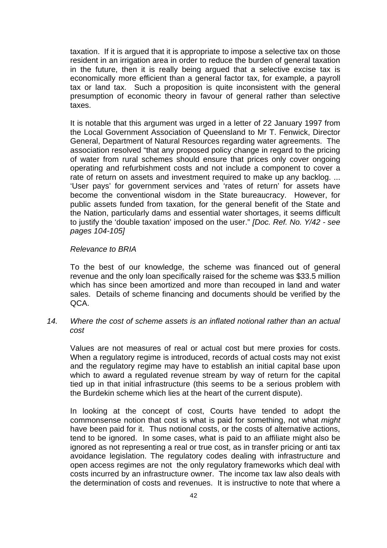taxation. If it is argued that it is appropriate to impose a selective tax on those resident in an irrigation area in order to reduce the burden of general taxation in the future, then it is really being argued that a selective excise tax is economically more efficient than a general factor tax, for example, a payroll tax or land tax. Such a proposition is quite inconsistent with the general presumption of economic theory in favour of general rather than selective taxes.

It is notable that this argument was urged in a letter of 22 January 1997 from the Local Government Association of Queensland to Mr T. Fenwick, Director General, Department of Natural Resources regarding water agreements. The association resolved "that any proposed policy change in regard to the pricing of water from rural schemes should ensure that prices only cover ongoing operating and refurbishment costs and not include a component to cover a rate of return on assets and investment required to make up any backlog. ... 'User pays' for government services and 'rates of return' for assets have become the conventional wisdom in the State bureaucracy. However, for public assets funded from taxation, for the general benefit of the State and the Nation, particularly dams and essential water shortages, it seems difficult to justify the 'double taxation' imposed on the user." *[Doc. Ref. No. Y/42 - see pages 104-105]*

#### *Relevance to BRIA*

To the best of our knowledge, the scheme was financed out of general revenue and the only loan specifically raised for the scheme was \$33.5 million which has since been amortized and more than recouped in land and water sales. Details of scheme financing and documents should be verified by the QCA.

# *14. Where the cost of scheme assets is an inflated notional rather than an actual cost*

Values are not measures of real or actual cost but mere proxies for costs. When a regulatory regime is introduced, records of actual costs may not exist and the regulatory regime may have to establish an initial capital base upon which to award a regulated revenue stream by way of return for the capital tied up in that initial infrastructure (this seems to be a serious problem with the Burdekin scheme which lies at the heart of the current dispute).

In looking at the concept of cost, Courts have tended to adopt the commonsense notion that cost is what is paid for something, not what *might* have been paid for it. Thus notional costs, or the costs of alternative actions, tend to be ignored. In some cases, what is paid to an affiliate might also be ignored as not representing a real or true cost, as in transfer pricing or anti tax avoidance legislation. The regulatory codes dealing with infrastructure and open access regimes are not the only regulatory frameworks which deal with costs incurred by an infrastructure owner. The income tax law also deals with the determination of costs and revenues. It is instructive to note that where a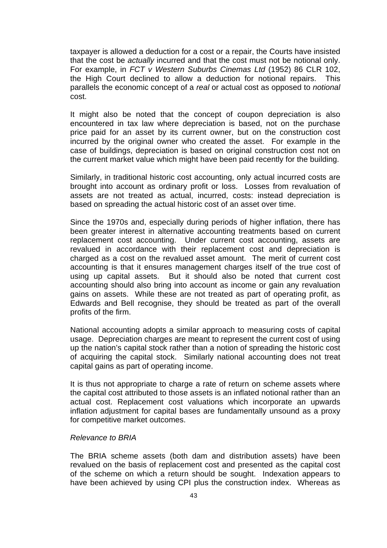taxpayer is allowed a deduction for a cost or a repair, the Courts have insisted that the cost be *actually* incurred and that the cost must not be notional only. For example, in *FCT v Western Suburbs Cinemas Ltd* (1952) 86 CLR 102, the High Court declined to allow a deduction for notional repairs. This parallels the economic concept of a *real* or actual cost as opposed to *notional* cost.

It might also be noted that the concept of coupon depreciation is also encountered in tax law where depreciation is based, not on the purchase price paid for an asset by its current owner, but on the construction cost incurred by the original owner who created the asset. For example in the case of buildings, depreciation is based on original construction cost not on the current market value which might have been paid recently for the building.

Similarly, in traditional historic cost accounting, only actual incurred costs are brought into account as ordinary profit or loss. Losses from revaluation of assets are not treated as actual, incurred, costs: instead depreciation is based on spreading the actual historic cost of an asset over time.

Since the 1970s and, especially during periods of higher inflation, there has been greater interest in alternative accounting treatments based on current replacement cost accounting. Under current cost accounting, assets are revalued in accordance with their replacement cost and depreciation is charged as a cost on the revalued asset amount. The merit of current cost accounting is that it ensures management charges itself of the true cost of using up capital assets. But it should also be noted that current cost accounting should also bring into account as income or gain any revaluation gains on assets. While these are not treated as part of operating profit, as Edwards and Bell recognise, they should be treated as part of the overall profits of the firm.

National accounting adopts a similar approach to measuring costs of capital usage. Depreciation charges are meant to represent the current cost of using up the nation's capital stock rather than a notion of spreading the historic cost of acquiring the capital stock. Similarly national accounting does not treat capital gains as part of operating income.

It is thus not appropriate to charge a rate of return on scheme assets where the capital cost attributed to those assets is an inflated notional rather than an actual cost. Replacement cost valuations which incorporate an upwards inflation adjustment for capital bases are fundamentally unsound as a proxy for competitive market outcomes.

# *Relevance to BRIA*

The BRIA scheme assets (both dam and distribution assets) have been revalued on the basis of replacement cost and presented as the capital cost of the scheme on which a return should be sought. Indexation appears to have been achieved by using CPI plus the construction index. Whereas as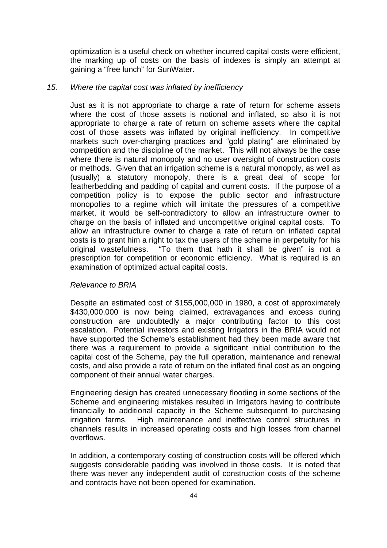optimization is a useful check on whether incurred capital costs were efficient, the marking up of costs on the basis of indexes is simply an attempt at gaining a "free lunch" for SunWater.

#### *15. Where the capital cost was inflated by inefficiency*

Just as it is not appropriate to charge a rate of return for scheme assets where the cost of those assets is notional and inflated, so also it is not appropriate to charge a rate of return on scheme assets where the capital cost of those assets was inflated by original inefficiency. In competitive markets such over-charging practices and "gold plating" are eliminated by competition and the discipline of the market. This will not always be the case where there is natural monopoly and no user oversight of construction costs or methods. Given that an irrigation scheme is a natural monopoly, as well as (usually) a statutory monopoly, there is a great deal of scope for featherbedding and padding of capital and current costs. If the purpose of a competition policy is to expose the public sector and infrastructure monopolies to a regime which will imitate the pressures of a competitive market, it would be self-contradictory to allow an infrastructure owner to charge on the basis of inflated and uncompetitive original capital costs. To allow an infrastructure owner to charge a rate of return on inflated capital costs is to grant him a right to tax the users of the scheme in perpetuity for his original wastefulness. "To them that hath it shall be given" is not a prescription for competition or economic efficiency. What is required is an examination of optimized actual capital costs.

# *Relevance to BRIA*

Despite an estimated cost of \$155,000,000 in 1980, a cost of approximately \$430,000,000 is now being claimed, extravagances and excess during construction are undoubtedly a major contributing factor to this cost escalation. Potential investors and existing Irrigators in the BRIA would not have supported the Scheme's establishment had they been made aware that there was a requirement to provide a significant initial contribution to the capital cost of the Scheme, pay the full operation, maintenance and renewal costs, and also provide a rate of return on the inflated final cost as an ongoing component of their annual water charges.

Engineering design has created unnecessary flooding in some sections of the Scheme and engineering mistakes resulted in Irrigators having to contribute financially to additional capacity in the Scheme subsequent to purchasing irrigation farms. High maintenance and ineffective control structures in channels results in increased operating costs and high losses from channel overflows.

In addition, a contemporary costing of construction costs will be offered which suggests considerable padding was involved in those costs. It is noted that there was never any independent audit of construction costs of the scheme and contracts have not been opened for examination.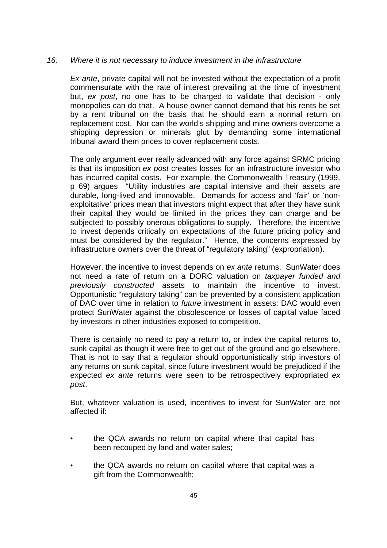# *16. Where it is not necessary to induce investment in the infrastructure*

*Ex ante*, private capital will not be invested without the expectation of a profit commensurate with the rate of interest prevailing at the time of investment but, *ex post*, no one has to be charged to validate that decision - only monopolies can do that. A house owner cannot demand that his rents be set by a rent tribunal on the basis that he should earn a normal return on replacement cost. Nor can the world's shipping and mine owners overcome a shipping depression or minerals glut by demanding some international tribunal award them prices to cover replacement costs.

The only argument ever really advanced with any force against SRMC pricing is that its imposition *ex post* creates losses for an infrastructure investor who has incurred capital costs. For example, the Commonwealth Treasury (1999, p 69) argues "Utility industries are capital intensive and their assets are durable, long-lived and immovable. Demands for access and 'fair' or 'nonexploitative' prices mean that investors might expect that after they have sunk their capital they would be limited in the prices they can charge and be subjected to possibly onerous obligations to supply. Therefore, the incentive to invest depends critically on expectations of the future pricing policy and must be considered by the regulator." Hence, the concerns expressed by infrastructure owners over the threat of "regulatory taking" (expropriation).

However, the incentive to invest depends on *ex ante* returns. SunWater does not need a rate of return on a DORC valuation on *taxpayer funded and previously constructed* assets to maintain the incentive to invest. Opportunistic "regulatory taking" can be prevented by a consistent application of DAC over time in relation to *future* investment in assets: DAC would even protect SunWater against the obsolescence or losses of capital value faced by investors in other industries exposed to competition.

There is certainly no need to pay a return to, or index the capital returns to, sunk capital as though it were free to get out of the ground and go elsewhere. That is not to say that a regulator should opportunistically strip investors of any returns on sunk capital, since future investment would be prejudiced if the expected *ex ante* returns were seen to be retrospectively expropriated *ex post*.

But, whatever valuation is used, incentives to invest for SunWater are not affected if:

- the QCA awards no return on capital where that capital has been recouped by land and water sales;
- the QCA awards no return on capital where that capital was a gift from the Commonwealth;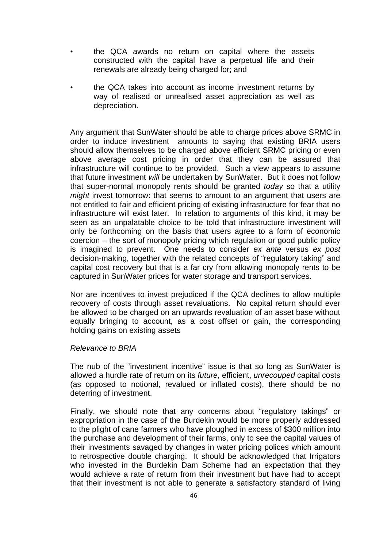- the QCA awards no return on capital where the assets constructed with the capital have a perpetual life and their renewals are already being charged for; and
- the QCA takes into account as income investment returns by way of realised or unrealised asset appreciation as well as depreciation.

Any argument that SunWater should be able to charge prices above SRMC in order to induce investment amounts to saying that existing BRIA users should allow themselves to be charged above efficient SRMC pricing or even above average cost pricing in order that they can be assured that infrastructure will continue to be provided. Such a view appears to assume that future investment *will* be undertaken by SunWater. But it does not follow that super-normal monopoly rents should be granted *today* so that a utility *might* invest tomorrow: that seems to amount to an argument that users are not entitled to fair and efficient pricing of existing infrastructure for fear that no infrastructure will exist later. In relation to arguments of this kind, it may be seen as an unpalatable choice to be told that infrastructure investment will only be forthcoming on the basis that users agree to a form of economic coercion – the sort of monopoly pricing which regulation or good public policy is imagined to prevent. One needs to consider *ex ante* versus *ex post* decision-making, together with the related concepts of "regulatory taking" and capital cost recovery but that is a far cry from allowing monopoly rents to be captured in SunWater prices for water storage and transport services.

Nor are incentives to invest prejudiced if the QCA declines to allow multiple recovery of costs through asset revaluations. No capital return should ever be allowed to be charged on an upwards revaluation of an asset base without equally bringing to account, as a cost offset or gain, the corresponding holding gains on existing assets

#### *Relevance to BRIA*

The nub of the "investment incentive" issue is that so long as SunWater is allowed a hurdle rate of return on its *future*, efficient, *unrecouped* capital costs (as opposed to notional, revalued or inflated costs), there should be no deterring of investment.

Finally, we should note that any concerns about "regulatory takings" or expropriation in the case of the Burdekin would be more properly addressed to the plight of cane farmers who have ploughed in excess of \$300 million into the purchase and development of their farms, only to see the capital values of their investments savaged by changes in water pricing polices which amount to retrospective double charging. It should be acknowledged that Irrigators who invested in the Burdekin Dam Scheme had an expectation that they would achieve a rate of return from their investment but have had to accept that their investment is not able to generate a satisfactory standard of living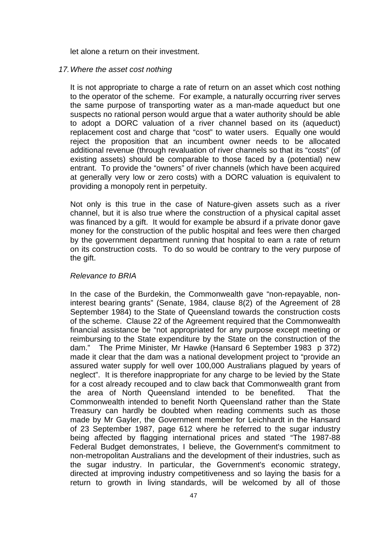let alone a return on their investment.

#### *17.Where the asset cost nothing*

It is not appropriate to charge a rate of return on an asset which cost nothing to the operator of the scheme. For example, a naturally occurring river serves the same purpose of transporting water as a man-made aqueduct but one suspects no rational person would argue that a water authority should be able to adopt a DORC valuation of a river channel based on its (aqueduct) replacement cost and charge that "cost" to water users. Equally one would reject the proposition that an incumbent owner needs to be allocated additional revenue (through revaluation of river channels so that its "costs" (of existing assets) should be comparable to those faced by a (potential) new entrant. To provide the "owners" of river channels (which have been acquired at generally very low or zero costs) with a DORC valuation is equivalent to providing a monopoly rent in perpetuity.

Not only is this true in the case of Nature-given assets such as a river channel, but it is also true where the construction of a physical capital asset was financed by a gift. It would for example be absurd if a private donor gave money for the construction of the public hospital and fees were then charged by the government department running that hospital to earn a rate of return on its construction costs. To do so would be contrary to the very purpose of the gift.

#### *Relevance to BRIA*

In the case of the Burdekin, the Commonwealth gave "non-repayable, noninterest bearing grants" (Senate, 1984, clause 8(2) of the Agreement of 28 September 1984) to the State of Queensland towards the construction costs of the scheme. Clause 22 of the Agreement required that the Commonwealth financial assistance be "not appropriated for any purpose except meeting or reimbursing to the State expenditure by the State on the construction of the dam." The Prime Minister, Mr Hawke (Hansard 6 September 1983 p 372) made it clear that the dam was a national development project to "provide an assured water supply for well over 100,000 Australians plagued by years of neglect". It is therefore inappropriate for any charge to be levied by the State for a cost already recouped and to claw back that Commonwealth grant from the area of North Queensland intended to be benefited. That the Commonwealth intended to benefit North Queensland rather than the State Treasury can hardly be doubted when reading comments such as those made by Mr Gayler, the Government member for Leichhardt in the Hansard of 23 September 1987, page 612 where he referred to the sugar industry being affected by flagging international prices and stated "The 1987-88 Federal Budget demonstrates, I believe, the Government's commitment to non-metropolitan Australians and the development of their industries, such as the sugar industry. In particular, the Government's economic strategy, directed at improving industry competitiveness and so laying the basis for a return to growth in living standards, will be welcomed by all of those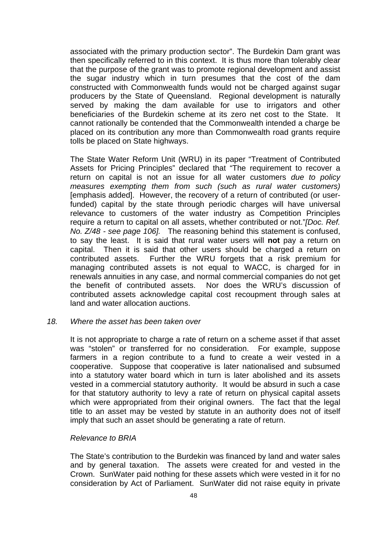associated with the primary production sector". The Burdekin Dam grant was then specifically referred to in this context. It is thus more than tolerably clear that the purpose of the grant was to promote regional development and assist the sugar industry which in turn presumes that the cost of the dam constructed with Commonwealth funds would not be charged against sugar producers by the State of Queensland. Regional development is naturally served by making the dam available for use to irrigators and other beneficiaries of the Burdekin scheme at its zero net cost to the State. It cannot rationally be contended that the Commonwealth intended a charge be placed on its contribution any more than Commonwealth road grants require tolls be placed on State highways.

The State Water Reform Unit (WRU) in its paper "Treatment of Contributed Assets for Pricing Principles" declared that "The requirement to recover a return on capital is not an issue for all water customers *due to policy measures exempting them from such (such as rural water customers)* [emphasis added]. However, the recovery of a return of contributed (or userfunded) capital by the state through periodic charges will have universal relevance to customers of the water industry as Competition Principles require a return to capital on all assets, whether contributed or not."*[Doc. Ref. No. Z/48 - see page 106].* The reasoning behind this statement is confused, to say the least. It is said that rural water users will **not** pay a return on capital. Then it is said that other users should be charged a return on contributed assets. Further the WRU forgets that a risk premium for managing contributed assets is not equal to WACC, is charged for in renewals annuities in any case, and normal commercial companies do not get the benefit of contributed assets. Nor does the WRU's discussion of contributed assets acknowledge capital cost recoupment through sales at land and water allocation auctions.

#### *18. Where the asset has been taken over*

It is not appropriate to charge a rate of return on a scheme asset if that asset was "stolen" or transferred for no consideration. For example, suppose farmers in a region contribute to a fund to create a weir vested in a cooperative. Suppose that cooperative is later nationalised and subsumed into a statutory water board which in turn is later abolished and its assets vested in a commercial statutory authority. It would be absurd in such a case for that statutory authority to levy a rate of return on physical capital assets which were appropriated from their original owners. The fact that the legal title to an asset may be vested by statute in an authority does not of itself imply that such an asset should be generating a rate of return.

#### *Relevance to BRIA*

The State's contribution to the Burdekin was financed by land and water sales and by general taxation. The assets were created for and vested in the Crown. SunWater paid nothing for these assets which were vested in it for no consideration by Act of Parliament. SunWater did not raise equity in private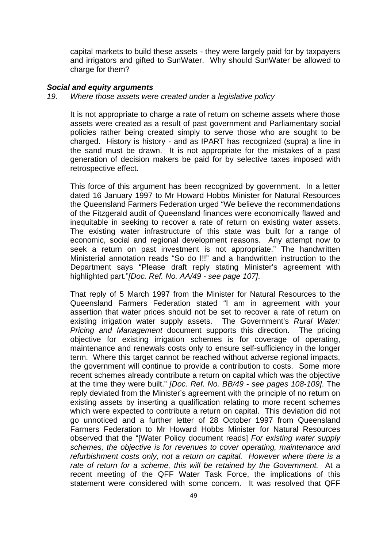capital markets to build these assets - they were largely paid for by taxpayers and irrigators and gifted to SunWater. Why should SunWater be allowed to charge for them?

#### *Social and equity arguments*

*19. Where those assets were created under a legislative policy*

It is not appropriate to charge a rate of return on scheme assets where those assets were created as a result of past government and Parliamentary social policies rather being created simply to serve those who are sought to be charged. History is history - and as IPART has recognized (supra) a line in the sand must be drawn. It is not appropriate for the mistakes of a past generation of decision makers be paid for by selective taxes imposed with retrospective effect.

This force of this argument has been recognized by government. In a letter dated 16 January 1997 to Mr Howard Hobbs Minister for Natural Resources the Queensland Farmers Federation urged "We believe the recommendations of the Fitzgerald audit of Queensland finances were economically flawed and inequitable in seeking to recover a rate of return on existing water assets. The existing water infrastructure of this state was built for a range of economic, social and regional development reasons. Any attempt now to seek a return on past investment is not appropriate." The handwritten Ministerial annotation reads "So do I!!" and a handwritten instruction to the Department says "Please draft reply stating Minister's agreement with highlighted part."*[Doc. Ref. No. AA/49 - see page 107]*.

That reply of 5 March 1997 from the Minister for Natural Resources to the Queensland Farmers Federation stated "I am in agreement with your assertion that water prices should not be set to recover a rate of return on existing irrigation water supply assets. The Government's *Rural Water: Pricing and Management* document supports this direction. The pricing objective for existing irrigation schemes is for coverage of operating, maintenance and renewals costs only to ensure self-sufficiency in the longer term. Where this target cannot be reached without adverse regional impacts, the government will continue to provide a contribution to costs. Some more recent schemes already contribute a return on capital which was the objective at the time they were built." *[Doc. Ref. No. BB/49 - see pages 108-109]*. The reply deviated from the Minister's agreement with the principle of no return on existing assets by inserting a qualification relating to more recent schemes which were expected to contribute a return on capital. This deviation did not go unnoticed and a further letter of 28 October 1997 from Queensland Farmers Federation to Mr Howard Hobbs Minister for Natural Resources observed that the "[Water Policy document reads] *For existing water supply schemes, the objective is for revenues to cover operating, maintenance and refurbishment costs only, not a return on capital. However where there is a rate of return for a scheme, this will be retained by the Government.* At a recent meeting of the QFF Water Task Force, the implications of this statement were considered with some concern. It was resolved that QFF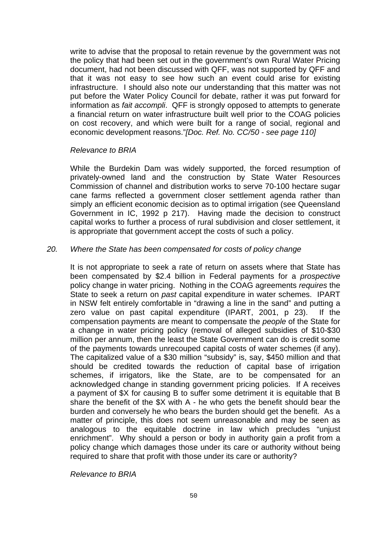write to advise that the proposal to retain revenue by the government was not the policy that had been set out in the government's own Rural Water Pricing document, had not been discussed with QFF, was not supported by QFF and that it was not easy to see how such an event could arise for existing infrastructure. I should also note our understanding that this matter was not put before the Water Policy Council for debate, rather it was put forward for information as *fait accompli*. QFF is strongly opposed to attempts to generate a financial return on water infrastructure built well prior to the COAG policies on cost recovery, and which were built for a range of social, regional and economic development reasons."*[Doc. Ref. No. CC/50 - see page 110]*

#### *Relevance to BRIA*

While the Burdekin Dam was widely supported, the forced resumption of privately-owned land and the construction by State Water Resources Commission of channel and distribution works to serve 70-100 hectare sugar cane farms reflected a government closer settlement agenda rather than simply an efficient economic decision as to optimal irrigation (see Queensland Government in IC, 1992 p 217). Having made the decision to construct capital works to further a process of rural subdivision and closer settlement, it is appropriate that government accept the costs of such a policy.

#### *20. Where the State has been compensated for costs of policy change*

It is not appropriate to seek a rate of return on assets where that State has been compensated by \$2.4 billion in Federal payments for a *prospective* policy change in water pricing. Nothing in the COAG agreements *requires* the State to seek a return on *past* capital expenditure in water schemes. IPART in NSW felt entirely comfortable in "drawing a line in the sand" and putting a zero value on past capital expenditure (IPART, 2001, p 23). If the compensation payments are meant to compensate the *people* of the State for a change in water pricing policy (removal of alleged subsidies of \$10-\$30 million per annum, then the least the State Government can do is credit some of the payments towards unrecouped capital costs of water schemes (if any). The capitalized value of a \$30 million "subsidy" is, say, \$450 million and that should be credited towards the reduction of capital base of irrigation schemes, if irrigators, like the State, are to be compensated for an acknowledged change in standing government pricing policies. If A receives a payment of \$X for causing B to suffer some detriment it is equitable that B share the benefit of the \$X with A - he who gets the benefit should bear the burden and conversely he who bears the burden should get the benefit. As a matter of principle, this does not seem unreasonable and may be seen as analogous to the equitable doctrine in law which precludes "unjust enrichment". Why should a person or body in authority gain a profit from a policy change which damages those under its care or authority without being required to share that profit with those under its care or authority?

*Relevance to BRIA*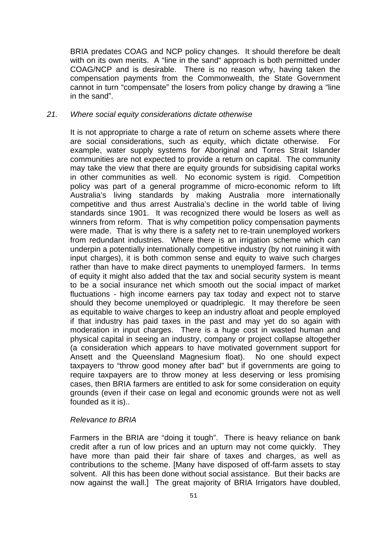BRIA predates COAG and NCP policy changes. It should therefore be dealt with on its own merits. A "line in the sand" approach is both permitted under COAG/NCP and is desirable. There is no reason why, having taken the compensation payments from the Commonwealth, the State Government cannot in turn "compensate" the losers from policy change by drawing a "line in the sand".

#### *21. Where social equity considerations dictate otherwise*

It is not appropriate to charge a rate of return on scheme assets where there are social considerations, such as equity, which dictate otherwise. For example, water supply systems for Aboriginal and Torres Strait Islander communities are not expected to provide a return on capital. The community may take the view that there are equity grounds for subsidising capital works in other communities as well. No economic system is rigid. Competition policy was part of a general programme of micro-economic reform to lift Australia's living standards by making Australia more internationally competitive and thus arrest Australia's decline in the world table of living standards since 1901. It was recognized there would be losers as well as winners from reform. That is why competition policy compensation payments were made. That is why there is a safety net to re-train unemployed workers from redundant industries. Where there is an irrigation scheme which *can* underpin a potentially internationally competitive industry (by not ruining it with input charges), it is both common sense and equity to waive such charges rather than have to make direct payments to unemployed farmers. In terms of equity it might also added that the tax and social security system is meant to be a social insurance net which smooth out the social impact of market fluctuations - high income earners pay tax today and expect not to starve should they become unemployed or quadriplegic. It may therefore be seen as equitable to waive charges to keep an industry afloat and people employed if that industry has paid taxes in the past and may yet do so again with moderation in input charges. There is a huge cost in wasted human and physical capital in seeing an industry, company or project collapse altogether (a consideration which appears to have motivated government support for Ansett and the Queensland Magnesium float). No one should expect taxpayers to "throw good money after bad" but if governments are going to require taxpayers are to throw money at less deserving or less promising cases, then BRIA farmers are entitled to ask for some consideration on equity grounds (even if their case on legal and economic grounds were not as well founded as it is)..

#### *Relevance to BRIA*

Farmers in the BRIA are "doing it tough". There is heavy reliance on bank credit after a run of low prices and an upturn may not come quickly. They have more than paid their fair share of taxes and charges, as well as contributions to the scheme. [Many have disposed of off-farm assets to stay solvent. All this has been done without social assistance. But their backs are now against the wall.] The great majority of BRIA Irrigators have doubled,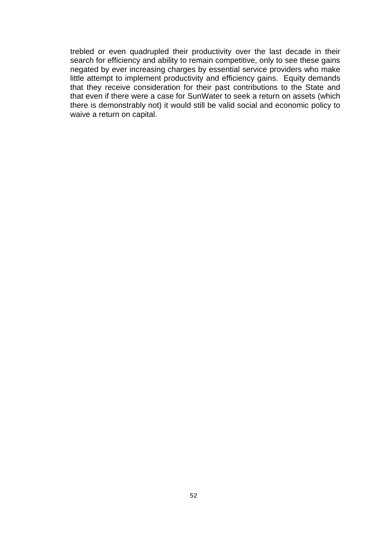trebled or even quadrupled their productivity over the last decade in their search for efficiency and ability to remain competitive, only to see these gains negated by ever increasing charges by essential service providers who make little attempt to implement productivity and efficiency gains. Equity demands that they receive consideration for their past contributions to the State and that even if there were a case for SunWater to seek a return on assets (which there is demonstrably not) it would still be valid social and economic policy to waive a return on capital.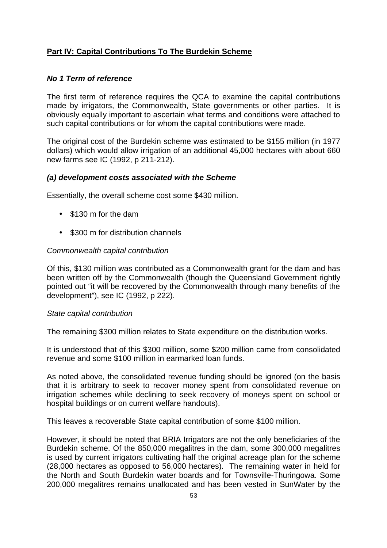# **Part IV: Capital Contributions To The Burdekin Scheme**

# *No 1 Term of reference*

The first term of reference requires the QCA to examine the capital contributions made by irrigators, the Commonwealth, State governments or other parties. It is obviously equally important to ascertain what terms and conditions were attached to such capital contributions or for whom the capital contributions were made.

The original cost of the Burdekin scheme was estimated to be \$155 million (in 1977 dollars) which would allow irrigation of an additional 45,000 hectares with about 660 new farms see IC (1992, p 211-212).

# *(a) development costs associated with the Scheme*

Essentially, the overall scheme cost some \$430 million.

- \$130 m for the dam
- \$300 m for distribution channels

# *Commonwealth capital contribution*

Of this, \$130 million was contributed as a Commonwealth grant for the dam and has been written off by the Commonwealth (though the Queensland Government rightly pointed out "it will be recovered by the Commonwealth through many benefits of the development"), see IC (1992, p 222).

# *State capital contribution*

The remaining \$300 million relates to State expenditure on the distribution works.

It is understood that of this \$300 million, some \$200 million came from consolidated revenue and some \$100 million in earmarked loan funds.

As noted above, the consolidated revenue funding should be ignored (on the basis that it is arbitrary to seek to recover money spent from consolidated revenue on irrigation schemes while declining to seek recovery of moneys spent on school or hospital buildings or on current welfare handouts).

This leaves a recoverable State capital contribution of some \$100 million.

However, it should be noted that BRIA Irrigators are not the only beneficiaries of the Burdekin scheme. Of the 850,000 megalitres in the dam, some 300,000 megalitres is used by current irrigators cultivating half the original acreage plan for the scheme (28,000 hectares as opposed to 56,000 hectares). The remaining water in held for the North and South Burdekin water boards and for Townsville-Thuringowa. Some 200,000 megalitres remains unallocated and has been vested in SunWater by the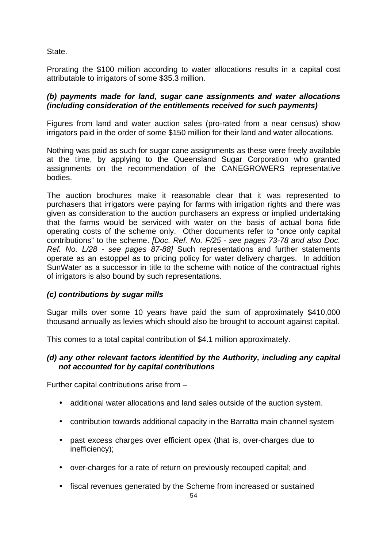State.

Prorating the \$100 million according to water allocations results in a capital cost attributable to irrigators of some \$35.3 million.

# *(b) payments made for land, sugar cane assignments and water allocations (including consideration of the entitlements received for such payments)*

Figures from land and water auction sales (pro-rated from a near census) show irrigators paid in the order of some \$150 million for their land and water allocations.

Nothing was paid as such for sugar cane assignments as these were freely available at the time, by applying to the Queensland Sugar Corporation who granted assignments on the recommendation of the CANEGROWERS representative bodies.

The auction brochures make it reasonable clear that it was represented to purchasers that irrigators were paying for farms with irrigation rights and there was given as consideration to the auction purchasers an express or implied undertaking that the farms would be serviced with water on the basis of actual bona fide operating costs of the scheme only. Other documents refer to "once only capital contributions" to the scheme. *[Doc. Ref. No. F/25 - see pages 73-78 and also Doc. Ref. No. L/28 - see pages 87-88]* Such representations and further statements operate as an estoppel as to pricing policy for water delivery charges. In addition SunWater as a successor in title to the scheme with notice of the contractual rights of irrigators is also bound by such representations.

# *(c) contributions by sugar mills*

Sugar mills over some 10 years have paid the sum of approximately \$410,000 thousand annually as levies which should also be brought to account against capital.

This comes to a total capital contribution of \$4.1 million approximately.

# *(d) any other relevant factors identified by the Authority, including any capital not accounted for by capital contributions*

Further capital contributions arise from –

- additional water allocations and land sales outside of the auction system.
- contribution towards additional capacity in the Barratta main channel system
- past excess charges over efficient opex (that is, over-charges due to inefficiency);
- over-charges for a rate of return on previously recouped capital; and
- fiscal revenues generated by the Scheme from increased or sustained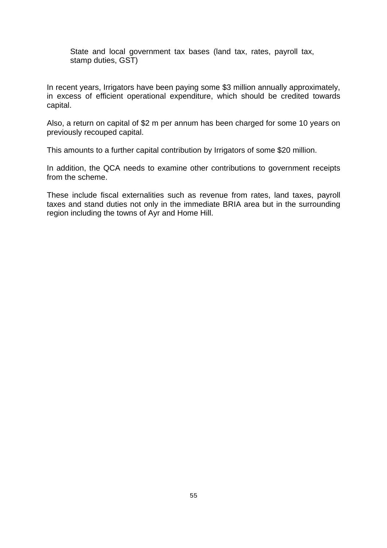State and local government tax bases (land tax, rates, payroll tax, stamp duties, GST)

In recent years, Irrigators have been paying some \$3 million annually approximately, in excess of efficient operational expenditure, which should be credited towards capital.

Also, a return on capital of \$2 m per annum has been charged for some 10 years on previously recouped capital.

This amounts to a further capital contribution by Irrigators of some \$20 million.

In addition, the QCA needs to examine other contributions to government receipts from the scheme.

These include fiscal externalities such as revenue from rates, land taxes, payroll taxes and stand duties not only in the immediate BRIA area but in the surrounding region including the towns of Ayr and Home Hill.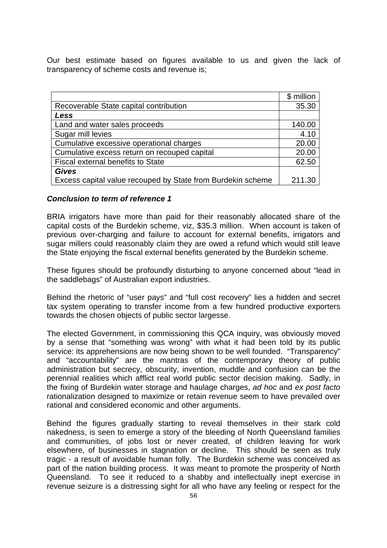Our best estimate based on figures available to us and given the lack of transparency of scheme costs and revenue is;

|                                                             | \$ million |
|-------------------------------------------------------------|------------|
| Recoverable State capital contribution                      | 35.30      |
| Less                                                        |            |
| Land and water sales proceeds                               | 140.00     |
| Sugar mill levies                                           | 4.10       |
| Cumulative excessive operational charges                    | 20.00      |
| Cumulative excess return on recouped capital                | 20.00      |
| <b>Fiscal external benefits to State</b>                    | 62.50      |
| <b>Gives</b>                                                |            |
| Excess capital value recouped by State from Burdekin scheme | 211.30     |

#### *Conclusion to term of reference 1*

BRIA irrigators have more than paid for their reasonably allocated share of the capital costs of the Burdekin scheme, viz, \$35.3 million. When account is taken of previous over-charging and failure to account for external benefits, irrigators and sugar millers could reasonably claim they are owed a refund which would still leave the State enjoying the fiscal external benefits generated by the Burdekin scheme.

These figures should be profoundly disturbing to anyone concerned about "lead in the saddlebags" of Australian export industries.

Behind the rhetoric of "user pays" and "full cost recovery" lies a hidden and secret tax system operating to transfer income from a few hundred productive exporters towards the chosen objects of public sector largesse.

The elected Government, in commissioning this QCA inquiry, was obviously moved by a sense that "something was wrong" with what it had been told by its public service: its apprehensions are now being shown to be well founded. "Transparency" and "accountability" are the mantras of the contemporary theory of public administration but secrecy, obscurity, invention, muddle and confusion can be the perennial realities which afflict real world public sector decision making. Sadly, in the fixing of Burdekin water storage and haulage charges, *ad hoc* and *ex post facto* rationalization designed to maximize or retain revenue seem to have prevailed over rational and considered economic and other arguments.

Behind the figures gradually starting to reveal themselves in their stark cold nakedness, is seen to emerge a story of the bleeding of North Queensland families and communities, of jobs lost or never created, of children leaving for work elsewhere, of businesses in stagnation or decline. This should be seen as truly tragic - a result of avoidable human folly. The Burdekin scheme was conceived as part of the nation building process. It was meant to promote the prosperity of North Queensland. To see it reduced to a shabby and intellectually inept exercise in revenue seizure is a distressing sight for all who have any feeling or respect for the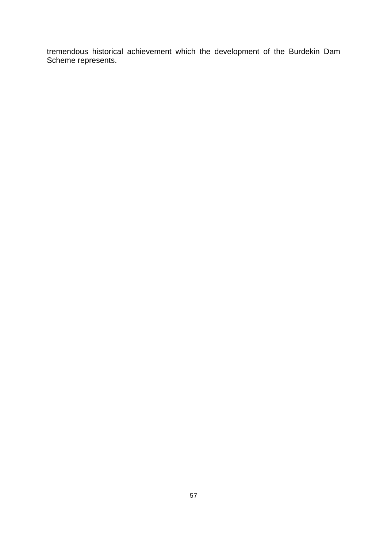tremendous historical achievement which the development of the Burdekin Dam Scheme represents.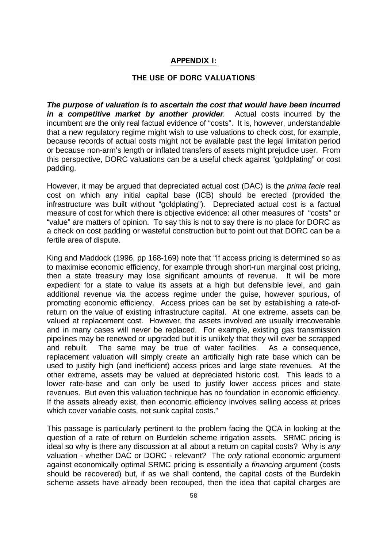# **APPENDIX I:**

# **THE USE OF DORC VALUATIONS**

*The purpose of valuation is to ascertain the cost that would have been incurred in a competitive market by another provider.* Actual costs incurred by the incumbent are the only real factual evidence of "costs". It is, however, understandable that a new regulatory regime might wish to use valuations to check cost, for example, because records of actual costs might not be available past the legal limitation period or because non-arm's length or inflated transfers of assets might prejudice user. From this perspective, DORC valuations can be a useful check against "goldplating" or cost padding.

However, it may be argued that depreciated actual cost (DAC) is the *prima facie* real cost on which any initial capital base (ICB) should be erected (provided the infrastructure was built without "goldplating"). Depreciated actual cost is a factual measure of cost for which there is objective evidence: all other measures of "costs" or "value" are matters of opinion. To say this is not to say there is no place for DORC as a check on cost padding or wasteful construction but to point out that DORC can be a fertile area of dispute.

King and Maddock (1996, pp 168-169) note that "If access pricing is determined so as to maximise economic efficiency, for example through short-run marginal cost pricing, then a state treasury may lose significant amounts of revenue. It will be more expedient for a state to value its assets at a high but defensible level, and gain additional revenue via the access regime under the guise, however spurious, of promoting economic efficiency. Access prices can be set by establishing a rate-ofreturn on the value of existing infrastructure capital. At one extreme, assets can be valued at replacement cost. However, the assets involved are usually irrecoverable and in many cases will never be replaced. For example, existing gas transmission pipelines may be renewed or upgraded but it is unlikely that they will ever be scrapped and rebuilt. The same may be true of water facilities. As a consequence, replacement valuation will simply create an artificially high rate base which can be used to justify high (and inefficient) access prices and large state revenues. At the other extreme, assets may be valued at depreciated historic cost. This leads to a lower rate-base and can only be used to justify lower access prices and state revenues. But even this valuation technique has no foundation in economic efficiency. If the assets already exist, then economic efficiency involves selling access at prices which cover variable costs, not sunk capital costs."

This passage is particularly pertinent to the problem facing the QCA in looking at the question of a rate of return on Burdekin scheme irrigation assets. SRMC pricing is ideal so why is there any discussion at all about a return on capital costs? Why is *any* valuation - whether DAC or DORC - relevant? The *only* rational economic argument against economically optimal SRMC pricing is essentially a *financing* argument (costs should be recovered) but, if as we shall contend, the capital costs of the Burdekin scheme assets have already been recouped, then the idea that capital charges are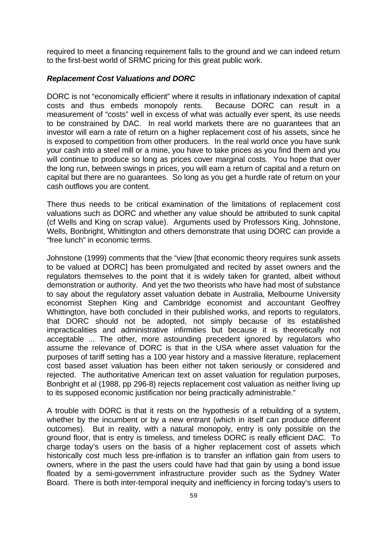required to meet a financing requirement falls to the ground and we can indeed return to the first-best world of SRMC pricing for this great public work.

# *Replacement Cost Valuations and DORC*

DORC is not "economically efficient" where it results in inflationary indexation of capital costs and thus embeds monopoly rents. Because DORC can result in a measurement of "costs" well in excess of what was actually ever spent, its use needs to be constrained by DAC. In real world markets there are no guarantees that an investor will earn a rate of return on a higher replacement cost of his assets, since he is exposed to competition from other producers. In the real world once you have sunk your cash into a steel mill or a mine, you have to take prices as you find them and you will continue to produce so long as prices cover marginal costs. You hope that over the long run, between swings in prices, you will earn a return of capital and a return on capital but there are no guarantees. So long as you get a hurdle rate of return on your cash outflows you are content.

There thus needs to be critical examination of the limitations of replacement cost valuations such as DORC and whether any value should be attributed to sunk capital (cf Wells and King on scrap value). Arguments used by Professors King, Johnstone, Wells, Bonbright, Whittington and others demonstrate that using DORC can provide a "free lunch" in economic terms.

Johnstone (1999) comments that the "view [that economic theory requires sunk assets to be valued at DORC] has been promulgated and recited by asset owners and the regulators themselves to the point that it is widely taken for granted, albeit without demonstration or authority. And yet the two theorists who have had most of substance to say about the regulatory asset valuation debate in Australia, Melbourne University economist Stephen King and Cambridge economist and accountant Geoffrey Whittington, have both concluded in their published works, and reports to regulators, that DORC should not be adopted, not simply because of its established impracticalities and administrative infirmities but because it is theoretically not acceptable ... The other, more astounding precedent ignored by regulators who assume the relevance of DORC is that in the USA where asset valuation for the purposes of tariff setting has a 100 year history and a massive literature, replacement cost based asset valuation has been either not taken seriously or considered and rejected. The authoritative American text on asset valuation for regulation purposes, Bonbright et al (1988, pp 296-8) rejects replacement cost valuation as neither living up to its supposed economic justification nor being practically administrable."

A trouble with DORC is that it rests on the hypothesis of a rebuilding of a system, whether by the incumbent or by a new entrant (which in itself can produce different outcomes). But in reality, with a natural monopoly, entry is only possible on the ground floor, that is entry is timeless, and timeless DORC is really efficient DAC. To charge today's users on the basis of a higher replacement cost of assets which historically cost much less pre-inflation is to transfer an inflation gain from users to owners, where in the past the users could have had that gain by using a bond issue floated by a semi-government infrastructure provider such as the Sydney Water Board. There is both inter-temporal inequity and inefficiency in forcing today's users to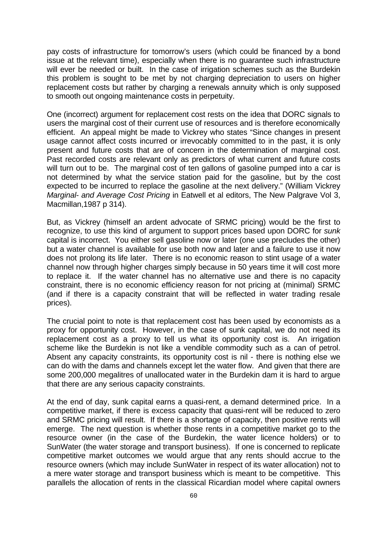pay costs of infrastructure for tomorrow's users (which could be financed by a bond issue at the relevant time), especially when there is no guarantee such infrastructure will ever be needed or built. In the case of irrigation schemes such as the Burdekin this problem is sought to be met by not charging depreciation to users on higher replacement costs but rather by charging a renewals annuity which is only supposed to smooth out ongoing maintenance costs in perpetuity.

One (incorrect) argument for replacement cost rests on the idea that DORC signals to users the marginal cost of their current use of resources and is therefore economically efficient. An appeal might be made to Vickrey who states "Since changes in present usage cannot affect costs incurred or irrevocably committed to in the past, it is only present and future costs that are of concern in the determination of marginal cost. Past recorded costs are relevant only as predictors of what current and future costs will turn out to be. The marginal cost of ten gallons of gasoline pumped into a car is not determined by what the service station paid for the gasoline, but by the cost expected to be incurred to replace the gasoline at the next delivery." (William Vickrey *Marginal- and Average Cost Pricing* in Eatwell et al editors, The New Palgrave Vol 3, Macmillan,1987 p 314).

But, as Vickrey (himself an ardent advocate of SRMC pricing) would be the first to recognize, to use this kind of argument to support prices based upon DORC for *sunk* capital is incorrect. You either sell gasoline now or later (one use precludes the other) but a water channel is available for use both now and later and a failure to use it now does not prolong its life later. There is no economic reason to stint usage of a water channel now through higher charges simply because in 50 years time it will cost more to replace it. If the water channel has no alternative use and there is no capacity constraint, there is no economic efficiency reason for not pricing at (minimal) SRMC (and if there is a capacity constraint that will be reflected in water trading resale prices).

The crucial point to note is that replacement cost has been used by economists as a proxy for opportunity cost. However, in the case of sunk capital, we do not need its replacement cost as a proxy to tell us what its opportunity cost is. An irrigation scheme like the Burdekin is not like a vendible commodity such as a can of petrol. Absent any capacity constraints, its opportunity cost is nil - there is nothing else we can do with the dams and channels except let the water flow. And given that there are some 200,000 megalitres of unallocated water in the Burdekin dam it is hard to argue that there are any serious capacity constraints.

At the end of day, sunk capital earns a quasi-rent, a demand determined price. In a competitive market, if there is excess capacity that quasi-rent will be reduced to zero and SRMC pricing will result. If there is a shortage of capacity, then positive rents will emerge. The next question is whether those rents in a competitive market go to the resource owner (in the case of the Burdekin, the water licence holders) or to SunWater (the water storage and transport business). If one is concerned to replicate competitive market outcomes we would argue that any rents should accrue to the resource owners (which may include SunWater in respect of its water allocation) not to a mere water storage and transport business which is meant to be competitive. This parallels the allocation of rents in the classical Ricardian model where capital owners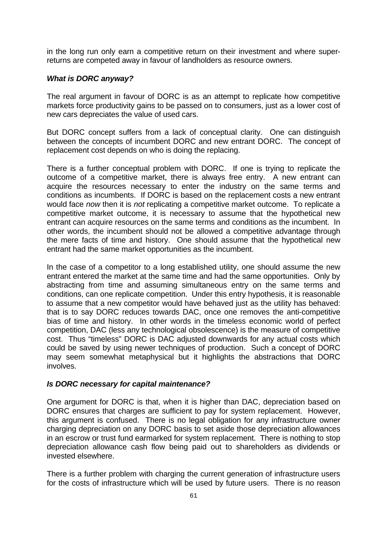in the long run only earn a competitive return on their investment and where superreturns are competed away in favour of landholders as resource owners.

#### *What is DORC anyway?*

The real argument in favour of DORC is as an attempt to replicate how competitive markets force productivity gains to be passed on to consumers, just as a lower cost of new cars depreciates the value of used cars.

But DORC concept suffers from a lack of conceptual clarity. One can distinguish between the concepts of incumbent DORC and new entrant DORC. The concept of replacement cost depends on who is doing the replacing.

There is a further conceptual problem with DORC. If one is trying to replicate the outcome of a competitive market, there is always free entry. A new entrant can acquire the resources necessary to enter the industry on the same terms and conditions as incumbents. If DORC is based on the replacement costs a new entrant would face *now* then it is *not* replicating a competitive market outcome. To replicate a competitive market outcome, it is necessary to assume that the hypothetical new entrant can acquire resources on the same terms and conditions as the incumbent. In other words, the incumbent should not be allowed a competitive advantage through the mere facts of time and history. One should assume that the hypothetical new entrant had the same market opportunities as the incumbent.

In the case of a competitor to a long established utility, one should assume the new entrant entered the market at the same time and had the same opportunities. Only by abstracting from time and assuming simultaneous entry on the same terms and conditions, can one replicate competition. Under this entry hypothesis, it is reasonable to assume that a new competitor would have behaved just as the utility has behaved: that is to say DORC reduces towards DAC, once one removes the anti-competitive bias of time and history. In other words in the timeless economic world of perfect competition, DAC (less any technological obsolescence) is the measure of competitive cost. Thus "timeless" DORC is DAC adjusted downwards for any actual costs which could be saved by using newer techniques of production. Such a concept of DORC may seem somewhat metaphysical but it highlights the abstractions that DORC involves.

#### *Is DORC necessary for capital maintenance?*

One argument for DORC is that, when it is higher than DAC, depreciation based on DORC ensures that charges are sufficient to pay for system replacement. However, this argument is confused. There is no legal obligation for any infrastructure owner charging depreciation on any DORC basis to set aside those depreciation allowances in an escrow or trust fund earmarked for system replacement. There is nothing to stop depreciation allowance cash flow being paid out to shareholders as dividends or invested elsewhere.

There is a further problem with charging the current generation of infrastructure users for the costs of infrastructure which will be used by future users. There is no reason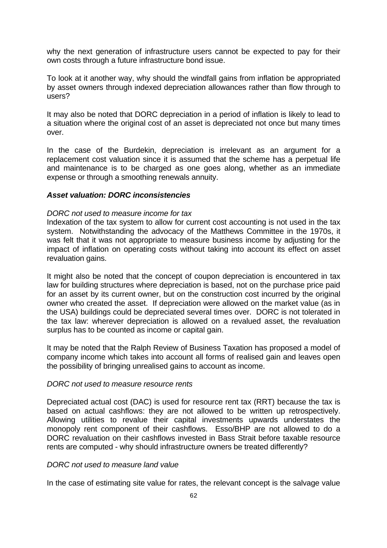why the next generation of infrastructure users cannot be expected to pay for their own costs through a future infrastructure bond issue.

To look at it another way, why should the windfall gains from inflation be appropriated by asset owners through indexed depreciation allowances rather than flow through to users?

It may also be noted that DORC depreciation in a period of inflation is likely to lead to a situation where the original cost of an asset is depreciated not once but many times over.

In the case of the Burdekin, depreciation is irrelevant as an argument for a replacement cost valuation since it is assumed that the scheme has a perpetual life and maintenance is to be charged as one goes along, whether as an immediate expense or through a smoothing renewals annuity.

#### *Asset valuation: DORC inconsistencies*

#### *DORC not used to measure income for tax*

Indexation of the tax system to allow for current cost accounting is not used in the tax system. Notwithstanding the advocacy of the Matthews Committee in the 1970s, it was felt that it was not appropriate to measure business income by adjusting for the impact of inflation on operating costs without taking into account its effect on asset revaluation gains.

It might also be noted that the concept of coupon depreciation is encountered in tax law for building structures where depreciation is based, not on the purchase price paid for an asset by its current owner, but on the construction cost incurred by the original owner who created the asset. If depreciation were allowed on the market value (as in the USA) buildings could be depreciated several times over. DORC is not tolerated in the tax law: wherever depreciation is allowed on a revalued asset, the revaluation surplus has to be counted as income or capital gain.

It may be noted that the Ralph Review of Business Taxation has proposed a model of company income which takes into account all forms of realised gain and leaves open the possibility of bringing unrealised gains to account as income.

#### *DORC not used to measure resource rents*

Depreciated actual cost (DAC) is used for resource rent tax (RRT) because the tax is based on actual cashflows: they are not allowed to be written up retrospectively. Allowing utilities to revalue their capital investments upwards understates the monopoly rent component of their cashflows. Esso/BHP are not allowed to do a DORC revaluation on their cashflows invested in Bass Strait before taxable resource rents are computed - why should infrastructure owners be treated differently?

# *DORC not used to measure land value*

In the case of estimating site value for rates, the relevant concept is the salvage value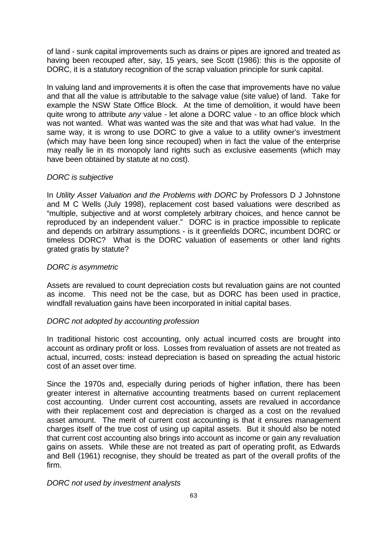of land - sunk capital improvements such as drains or pipes are ignored and treated as having been recouped after, say, 15 years, see Scott (1986): this is the opposite of DORC, it is a statutory recognition of the scrap valuation principle for sunk capital.

In valuing land and improvements it is often the case that improvements have no value and that all the value is attributable to the salvage value (site value) of land. Take for example the NSW State Office Block. At the time of demolition, it would have been quite wrong to attribute *any* value - let alone a DORC value - to an office block which was not wanted. What was wanted was the site and that was what had value. In the same way, it is wrong to use DORC to give a value to a utility owner's investment (which may have been long since recouped) when in fact the value of the enterprise may really lie in its monopoly land rights such as exclusive easements (which may have been obtained by statute at no cost).

# *DORC is subjective*

In *Utility Asset Valuation and the Problems with DORC* by Professors D J Johnstone and M C Wells (July 1998), replacement cost based valuations were described as "multiple, subjective and at worst completely arbitrary choices, and hence cannot be reproduced by an independent valuer." DORC is in practice impossible to replicate and depends on arbitrary assumptions - is it greenfields DORC, incumbent DORC or timeless DORC? What is the DORC valuation of easements or other land rights grated gratis by statute?

#### *DORC is asymmetric*

Assets are revalued to count depreciation costs but revaluation gains are not counted as income. This need not be the case, but as DORC has been used in practice, windfall revaluation gains have been incorporated in initial capital bases.

# *DORC not adopted by accounting profession*

In traditional historic cost accounting, only actual incurred costs are brought into account as ordinary profit or loss. Losses from revaluation of assets are not treated as actual, incurred, costs: instead depreciation is based on spreading the actual historic cost of an asset over time.

Since the 1970s and, especially during periods of higher inflation, there has been greater interest in alternative accounting treatments based on current replacement cost accounting. Under current cost accounting, assets are revalued in accordance with their replacement cost and depreciation is charged as a cost on the revalued asset amount. The merit of current cost accounting is that it ensures management charges itself of the true cost of using up capital assets. But it should also be noted that current cost accounting also brings into account as income or gain any revaluation gains on assets. While these are not treated as part of operating profit, as Edwards and Bell (1961) recognise, they should be treated as part of the overall profits of the firm.

#### *DORC not used by investment analysts*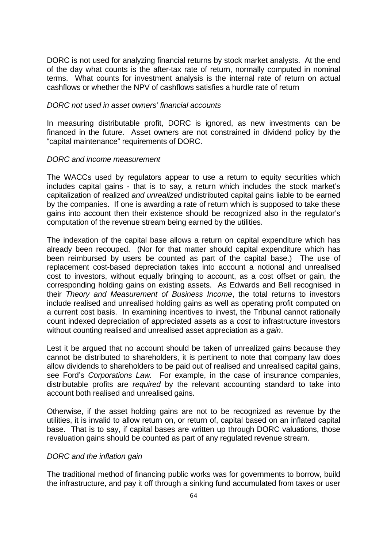DORC is not used for analyzing financial returns by stock market analysts. At the end of the day what counts is the after-tax rate of return, normally computed in nominal terms. What counts for investment analysis is the internal rate of return on actual cashflows or whether the NPV of cashflows satisfies a hurdle rate of return

#### *DORC not used in asset owners' financial accounts*

In measuring distributable profit, DORC is ignored, as new investments can be financed in the future. Asset owners are not constrained in dividend policy by the "capital maintenance" requirements of DORC.

#### *DORC and income measurement*

The WACCs used by regulators appear to use a return to equity securities which includes capital gains - that is to say, a return which includes the stock market's capitalization of realized *and unrealized* undistributed capital gains liable to be earned by the companies. If one is awarding a rate of return which is supposed to take these gains into account then their existence should be recognized also in the regulator's computation of the revenue stream being earned by the utilities.

The indexation of the capital base allows a return on capital expenditure which has already been recouped. (Nor for that matter should capital expenditure which has been reimbursed by users be counted as part of the capital base.) The use of replacement cost-based depreciation takes into account a notional and unrealised cost to investors, without equally bringing to account, as a cost offset or gain, the corresponding holding gains on existing assets. As Edwards and Bell recognised in their *Theory and Measurement of Business Income*, the total returns to investors include realised and unrealised holding gains as well as operating profit computed on a current cost basis. In examining incentives to invest, the Tribunal cannot rationally count indexed depreciation of appreciated assets as a *cost* to infrastructure investors without counting realised and unrealised asset appreciation as a *gain*.

Lest it be argued that no account should be taken of unrealized gains because they cannot be distributed to shareholders, it is pertinent to note that company law does allow dividends to shareholders to be paid out of realised and unrealised capital gains, see Ford's *Corporations Law.* For example, in the case of insurance companies, distributable profits are *required* by the relevant accounting standard to take into account both realised and unrealised gains.

Otherwise, if the asset holding gains are not to be recognized as revenue by the utilities, it is invalid to allow return on, or return of, capital based on an inflated capital base. That is to say, if capital bases are written up through DORC valuations, those revaluation gains should be counted as part of any regulated revenue stream.

# *DORC and the inflation gain*

The traditional method of financing public works was for governments to borrow, build the infrastructure, and pay it off through a sinking fund accumulated from taxes or user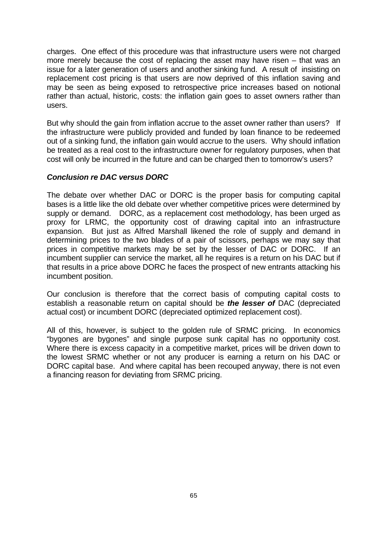charges. One effect of this procedure was that infrastructure users were not charged more merely because the cost of replacing the asset may have risen – that was an issue for a later generation of users and another sinking fund. A result of insisting on replacement cost pricing is that users are now deprived of this inflation saving and may be seen as being exposed to retrospective price increases based on notional rather than actual, historic, costs: the inflation gain goes to asset owners rather than users.

But why should the gain from inflation accrue to the asset owner rather than users? If the infrastructure were publicly provided and funded by loan finance to be redeemed out of a sinking fund, the inflation gain would accrue to the users. Why should inflation be treated as a real cost to the infrastructure owner for regulatory purposes, when that cost will only be incurred in the future and can be charged then to tomorrow's users?

# *Conclusion re DAC versus DORC*

The debate over whether DAC or DORC is the proper basis for computing capital bases is a little like the old debate over whether competitive prices were determined by supply or demand. DORC, as a replacement cost methodology, has been urged as proxy for LRMC, the opportunity cost of drawing capital into an infrastructure expansion. But just as Alfred Marshall likened the role of supply and demand in determining prices to the two blades of a pair of scissors, perhaps we may say that prices in competitive markets may be set by the lesser of DAC or DORC. If an incumbent supplier can service the market, all he requires is a return on his DAC but if that results in a price above DORC he faces the prospect of new entrants attacking his incumbent position.

Our conclusion is therefore that the correct basis of computing capital costs to establish a reasonable return on capital should be *the lesser of* DAC (depreciated actual cost) or incumbent DORC (depreciated optimized replacement cost).

All of this, however, is subject to the golden rule of SRMC pricing. In economics "bygones are bygones" and single purpose sunk capital has no opportunity cost. Where there is excess capacity in a competitive market, prices will be driven down to the lowest SRMC whether or not any producer is earning a return on his DAC or DORC capital base. And where capital has been recouped anyway, there is not even a financing reason for deviating from SRMC pricing.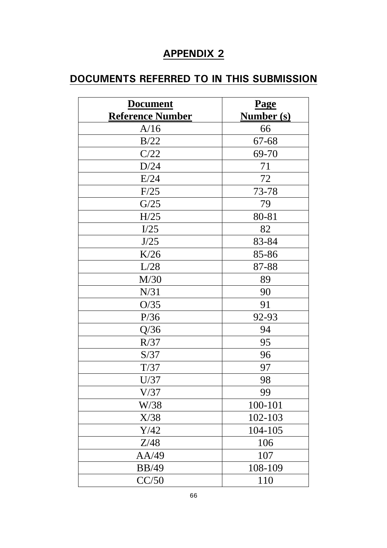# **APPENDIX 2**

# **DOCUMENTS REFERRED TO IN THIS SUBMISSION**

| <b>Document</b>         | <b>Page</b>       |
|-------------------------|-------------------|
| <b>Reference Number</b> | <b>Number (s)</b> |
| A/16                    | 66                |
| B/22                    | 67-68             |
| C/22                    | 69-70             |
| D/24                    | 71                |
| E/24                    | 72                |
| F/25                    | 73-78             |
| G/25                    | 79                |
| H/25                    | 80-81             |
| I/25                    | 82                |
| J/25                    | 83-84             |
| K/26                    | 85-86             |
| L/28                    | 87-88             |
| M/30                    | 89                |
| N/31                    | 90                |
| O/35                    | 91                |
| P/36                    | 92-93             |
| Q/36                    | 94                |
| R/37                    | 95                |
| S/37                    | 96                |
| T/37                    | 97                |
| U/37                    | 98                |
| V/37                    | 99                |
| W/38                    | 100-101           |
| X/38                    | 102-103           |
| Y/42                    | 104-105           |
| Z/48                    | 106               |
| AA/49                   | 107               |
| <b>BB/49</b>            | 108-109           |
| CC/50                   | 110               |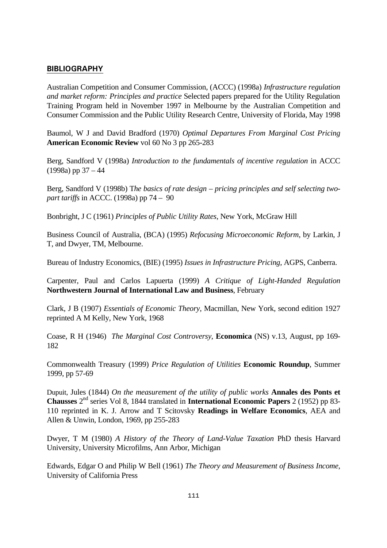#### **BIBLIOGRAPHY**

Australian Competition and Consumer Commission, (ACCC) (1998a) *Infrastructure regulation and market reform: Principles and practice* Selected papers prepared for the Utility Regulation Training Program held in November 1997 in Melbourne by the Australian Competition and Consumer Commission and the Public Utility Research Centre, University of Florida, May 1998

Baumol, W J and David Bradford (1970) *Optimal Departures From Marginal Cost Pricing* **American Economic Review** vol 60 No 3 pp 265-283

Berg, Sandford V (1998a) *Introduction to the fundamentals of incentive regulation* in ACCC  $(1998a)$  pp  $37 - 44$ 

Berg, Sandford V (1998b) T*he basics of rate design – pricing principles and self selecting twopart tariffs* in ACCC. (1998a) pp 74 – 90

Bonbright, J C (1961) *Principles of Public Utility Rates*, New York, McGraw Hill

Business Council of Australia, (BCA) (1995) *Refocusing Microeconomic Reform*, by Larkin, J T, and Dwyer, TM, Melbourne.

Bureau of Industry Economics, (BIE) (1995) *Issues in Infrastructure Pricing,* AGPS, Canberra.

Carpenter, Paul and Carlos Lapuerta (1999) *A Critique of Light-Handed Regulation* **Northwestern Journal of International Law and Business**, February

Clark, J B (1907) *Essentials of Economic Theory*, Macmillan, New York, second edition 1927 reprinted A M Kelly, New York, 1968

Coase, R H (1946) *The Marginal Cost Controversy*, **Economica** (NS) v.13, August, pp 169- 182

Commonwealth Treasury (1999) *Price Regulation of Utilities* **Economic Roundup**, Summer 1999, pp 57-69

Dupuit, Jules (1844) *On the measurement of the utility of public works* **Annales des Ponts et Chausses** 2nd series Vol 8, 1844 translated in **International Economic Papers** 2 (1952) pp 83- 110 reprinted in K. J. Arrow and T Scitovsky **Readings in Welfare Economics**, AEA and Allen & Unwin, London, 1969, pp 255-283

Dwyer, T M (1980) *A History of the Theory of Land-Value Taxation* PhD thesis Harvard University, University Microfilms, Ann Arbor, Michigan

Edwards, Edgar O and Philip W Bell (1961) *The Theory and Measurement of Business Income*, University of California Press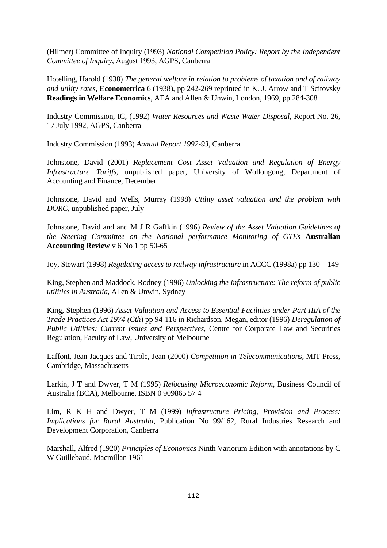(Hilmer) Committee of Inquiry (1993) *National Competition Policy: Report by the Independent Committee of Inquiry*, August 1993, AGPS, Canberra

Hotelling, Harold (1938) *The general welfare in relation to problems of taxation and of railway and utility rates*, **Econometrica** 6 (1938), pp 242-269 reprinted in K. J. Arrow and T Scitovsky **Readings in Welfare Economics**, AEA and Allen & Unwin, London, 1969, pp 284-308

Industry Commission, IC, (1992) *Water Resources and Waste Water Disposal*, Report No. 26, 17 July 1992, AGPS, Canberra

Industry Commission (1993) *Annual Report 1992-93*, Canberra

Johnstone, David (2001) *Replacement Cost Asset Valuation and Regulation of Energy Infrastructure Tariffs,* unpublished paper, University of Wollongong, Department of Accounting and Finance, December

Johnstone, David and Wells, Murray (1998) *Utility asset valuation and the problem with DORC*, unpublished paper, July

Johnstone, David and and M J R Gaffkin (1996) *Review of the Asset Valuation Guidelines of the Steering Committee on the National performance Monitoring of GTEs* **Australian Accounting Review** v 6 No 1 pp 50-65

Joy, Stewart (1998) *Regulating access to railway infrastructure* in ACCC (1998a) pp 130 – 149

King, Stephen and Maddock, Rodney (1996) *Unlocking the Infrastructure: The reform of public utilities in Australia*, Allen & Unwin, Sydney

King, Stephen (1996) *Asset Valuation and Access to Essential Facilities under Part IIIA of the Trade Practices Act 1974 (Cth*) pp 94-116 in Richardson, Megan, editor (1996) *Deregulation of Public Utilities: Current Issues and Perspectives*, Centre for Corporate Law and Securities Regulation, Faculty of Law, University of Melbourne

Laffont, Jean-Jacques and Tirole, Jean (2000) *Competition in Telecommunications*, MIT Press, Cambridge, Massachusetts

Larkin, J T and Dwyer, T M (1995) *Refocusing Microeconomic Reform*, Business Council of Australia (BCA), Melbourne, ISBN 0 909865 57 4

Lim, R K H and Dwyer, T M (1999) *Infrastructure Pricing, Provision and Process: Implications for Rural Australia*, Publication No 99/162, Rural Industries Research and Development Corporation, Canberra

Marshall, Alfred (1920) *Principles of Economics* Ninth Variorum Edition with annotations by C W Guillebaud, Macmillan 1961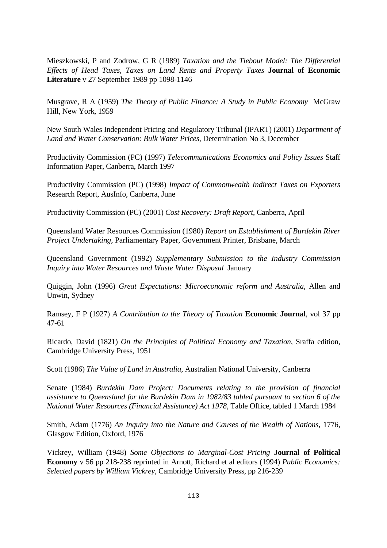Mieszkowski, P and Zodrow, G R (1989) *Taxation and the Tiebout Model: The Differential Effects of Head Taxes, Taxes on Land Rents and Property Taxes* **Journal of Economic Literature** v 27 September 1989 pp 1098-1146

Musgrave, R A (1959) *The Theory of Public Finance: A Study in Public Economy* McGraw Hill, New York, 1959

New South Wales Independent Pricing and Regulatory Tribunal (IPART) (2001) *Department of Land and Water Conservation: Bulk Water Prices*, Determination No 3, December

Productivity Commission (PC) (1997) *Telecommunications Economics and Policy Issues* Staff Information Paper, Canberra, March 1997

Productivity Commission (PC) (1998) *Impact of Commonwealth Indirect Taxes on Exporters* Research Report, AusInfo, Canberra, June

Productivity Commission (PC) (2001) *Cost Recovery: Draft Report*, Canberra, April

Queensland Water Resources Commission (1980) *Report on Establishment of Burdekin River Project Undertaking,* Parliamentary Paper, Government Printer, Brisbane, March

Queensland Government (1992) *Supplementary Submission to the Industry Commission Inquiry into Water Resources and Waste Water Disposal* January

Quiggin, John (1996) *Great Expectations: Microeconomic reform and Australia*, Allen and Unwin, Sydney

Ramsey, F P (1927) *A Contribution to the Theory of Taxation* **Economic Journal**, vol 37 pp 47-61

Ricardo, David (1821) *On the Principles of Political Economy and Taxation*, Sraffa edition, Cambridge University Press, 1951

Scott (1986) *The Value of Land in Australia*, Australian National University, Canberra

Senate (1984) *Burdekin Dam Project: Documents relating to the provision of financial assistance to Queensland for the Burdekin Dam in 1982/83 tabled pursuant to section 6 of the National Water Resources (Financial Assistance) Act 1978*, Table Office, tabled 1 March 1984

Smith, Adam (1776) *An Inquiry into the Nature and Causes of the Wealth of Nations*, 1776, Glasgow Edition, Oxford, 1976

Vickrey, William (1948) *Some Objections to Marginal-Cost Pricing* **Journal of Political Economy** v 56 pp 218-238 reprinted in Arnott, Richard et al editors (1994) *Public Economics: Selected papers by William Vickrey*, Cambridge University Press, pp 216-239